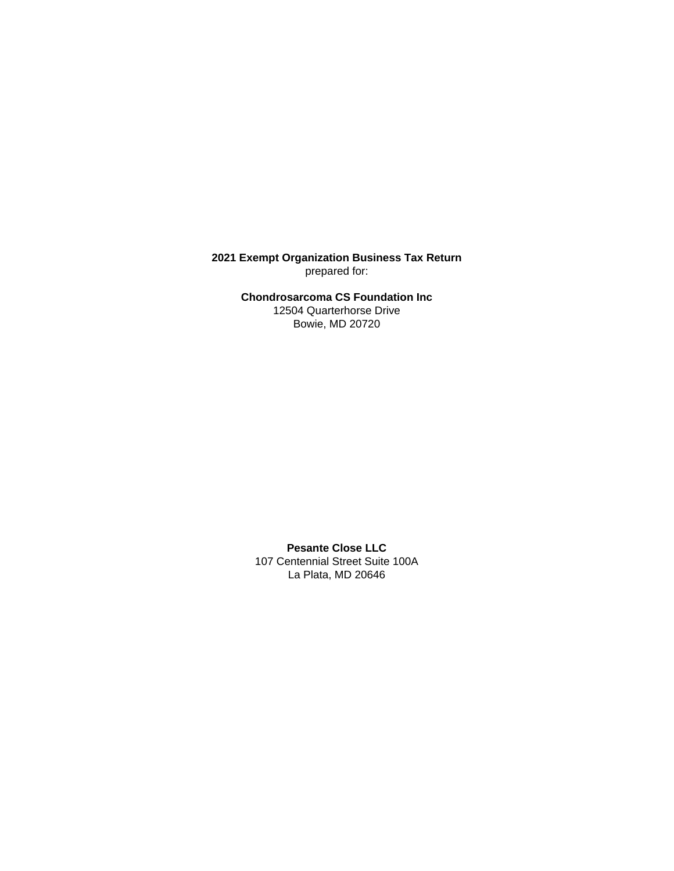**2021 Exempt Organization Business Tax Return** prepared for:

> **Chondrosarcoma CS Foundation Inc** 12504 Quarterhorse Drive Bowie, MD 20720

**Pesante Close LLC** 107 Centennial Street Suite 100A La Plata, MD 20646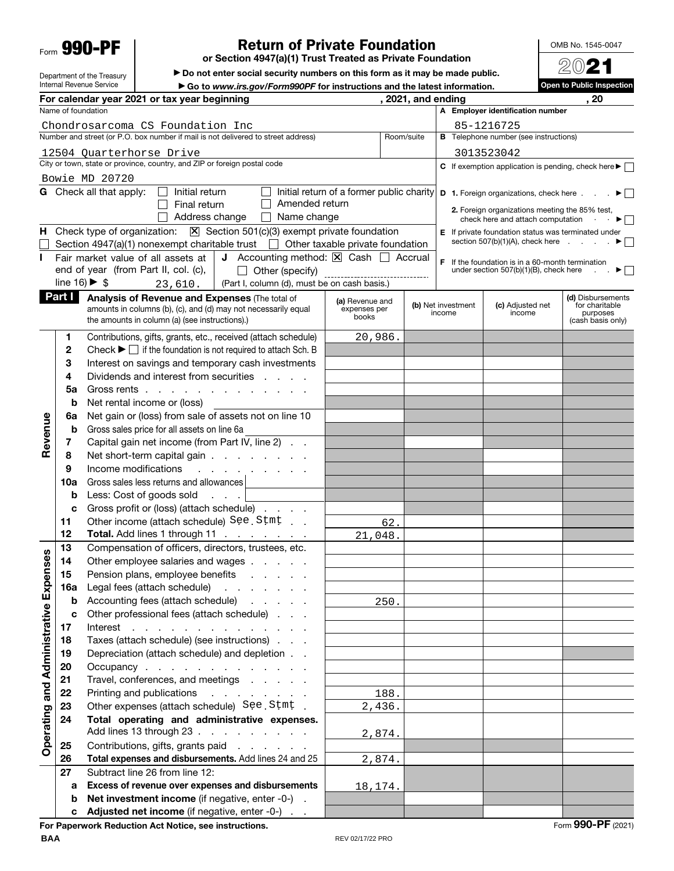Form **990-PF**

Department of the Treasury Internal Revenue Service

# **Return of Private Foundation**

**or Section 4947(a)(1) Trust Treated as Private Foundation**

 $\blacktriangleright$  Do not enter social security numbers on this form as it may be made public.

▶ Go to *www.irs.gov/Form990PF* for instructions and the latest information.<br>year beginning **a** *s s s s s s s s s s s s s s s s s s s s s* **For calendar year 2021 or tax year beginning , 2021, and ending , 20** Name of foundation **A Employer identification number** Chondrosarcoma CS Foundation Inc 85-1216725 Number and street (or P.O. box number if mail is not delivered to street address) Room/suite **B** Telephone number (see instructions) 12504 Quarterhorse Drive 3013523042 City or town, state or province, country, and ZIP or foreign postal code **C** If exemption application is pending, check here  $\blacktriangleright$ Bowie MD 20720 **G** Check all that apply:  $\Box$  Initial return Initial return of a former public charity **D 1.** Foreign organizations, check here  $\ldots$   $\blacktriangleright$  $\Box$  Final return  $\Box$  Amended return **2.** Foreign organizations meeting the 85% test,<br>check here and attach computation  $\cdot \cdot$  $\Box$  Address change  $\Box$  Name change check here and attach computation . **H** Check type of organization:  $X \to \infty$  Section 501(c)(3) exempt private foundation **E** If private foundation status was terminated under section 507(b)(1)(A), check here  $\qquad \qquad \bullet$ Section 4947(a)(1) nonexempt charitable trust  $\Box$  Other taxable private foundation **I** Fair market value of all assets at **J** Accounting method:  $\boxed{\times}$  Cash  $\boxed{\phantom{1}}$  Accrual **F** If the foundation is in a 60-month termination under section 507(b)(1)(B), check here  $\Box$ Other (specify) end of year (from Part II, col. (c), under section  $507(b)(1)(B)$ , check here line  $16$   $\triangleright$  \$ (Part I, column (d), must be on cash basis.) 23,610. **Part I** Analysis of Revenue and Expenses (The total of **(d)** Disbursements **(a)** Revenue and **(b)** Net investment **(c)** Adjusted net for charitable<br>purposes amounts in columns (b), (c), and (d) may not necessarily equal expenses perbooks income income the amounts in column (a) (see instructions).) purposes(cash basis only) **1** Contributions, gifts, grants, etc., received (attach schedule) 20,986. **2** Check  $\blacktriangleright \Box$  if the foundation is not required to attach Sch. B **3** Interest on savings and temporary cash investments **4** Dividends and interest from securities . . . . **5a** Gross rents . . . . . . . . . . . . . **b** Net rental income or (loss) **6a** Net gain or (loss) from sale of assets not on line 10 **Revenue** Revenue **b** Gross sales price for all assets on line 6a **7** Capital gain net income (from Part IV, line 2) . . **8** Net short-term capital gain . . . . . . . . **9** Income modifications . . . . **10a** Gross sales less returns and allowances **b** Less: Cost of goods sold . . . **c** Gross profit or (loss) (attach schedule) . . . . 11 Other income (attach schedule) See Stmt . . 62. **12 Total.** Add lines 1 through 11 . . . . . . 21,048. **13** Compensation of officers, directors, trustees, etc. Operating and Administrative Expenses **Operating and Administrative Expenses 14** Other employee salaries and wages . . . . . **15** Pension plans, employee benefits . . . . . **16a** Legal fees (attach schedule) . . . . . . . **b** Accounting fees (attach schedule) . . . . . 250. **c** Other professional fees (attach schedule) . . . **17** Interest . . . . . . . . . . . . . . **18** Taxes (attach schedule) (see instructions) . . . **19** Depreciation (attach schedule) and depletion . . **20** Occupancy . . . . . . . . . . . . . 21 Travel, conferences, and meetings . . . . . **22** Printing and publications . . . . . . . . 188. **23** Other expenses (attach schedule) See Stmt. 2,436. **24 Total operating and administrative expenses.**  Add lines 13 through 23 . . . . . . . . . 2,874. **25** Contributions, gifts, grants paid ...... **26 Total expenses and disbursements.** Add lines 24 and 25 2,874. **27** Subtract line 26 from line 12: **a Excess of revenue over expenses and disbursements** 18,174. **b** Net investment income (if negative, enter -0-). Adjusted net income (if negative, enter -0-)

**For Paperwork Reduction Act Notice, see instructions.** The set of the set of the set of the set of the set of the set of the set of the set of the set of the set of the set of the set of the set of the set of the set of t



**Open to Public Inspection**

| ĮU<br>j-<br>▬<br>ъ.<br>٠J |  |
|---------------------------|--|
|                           |  |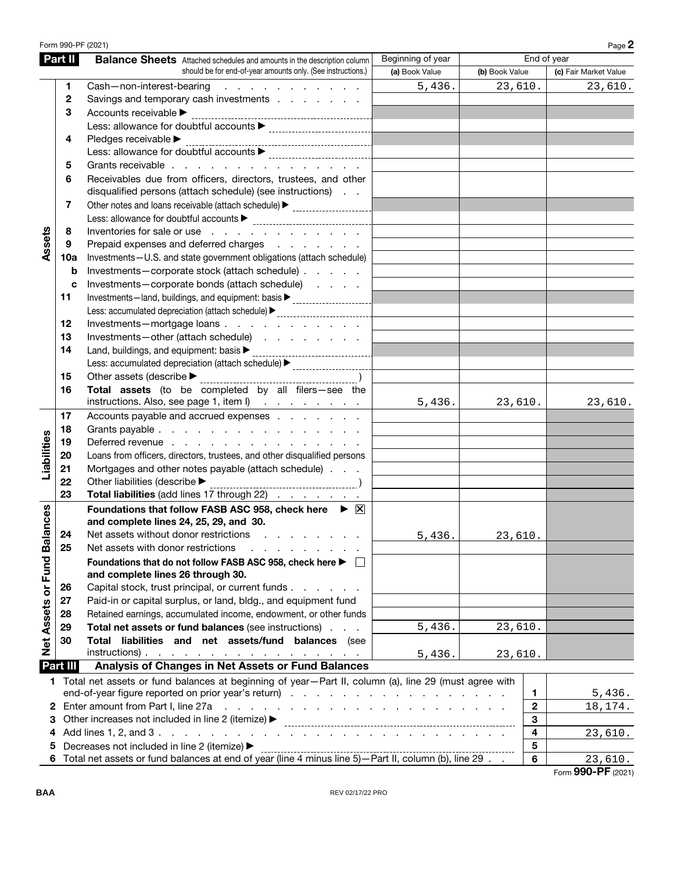|                             | Form 990-PF (2021) |                                                                                                                                                              |                   |                |                         | Page 2                |
|-----------------------------|--------------------|--------------------------------------------------------------------------------------------------------------------------------------------------------------|-------------------|----------------|-------------------------|-----------------------|
|                             | Part II            | <b>Balance Sheets</b> Attached schedules and amounts in the description column                                                                               | Beginning of year |                |                         | End of year           |
|                             |                    | should be for end-of-year amounts only. (See instructions.)                                                                                                  | (a) Book Value    | (b) Book Value |                         | (c) Fair Market Value |
|                             | 1                  | Cash-non-interest-bearing<br>and the contract of the contract of                                                                                             | 5,436.            | 23,610.        |                         | 23,610.               |
|                             | 2                  | Savings and temporary cash investments                                                                                                                       |                   |                |                         |                       |
|                             | 3                  | Accounts receivable                                                                                                                                          |                   |                |                         |                       |
|                             |                    |                                                                                                                                                              |                   |                |                         |                       |
|                             | 4                  | Pledges receivable $\blacktriangleright$                                                                                                                     |                   |                |                         |                       |
|                             |                    |                                                                                                                                                              |                   |                |                         |                       |
|                             | 5                  | Grants receivable                                                                                                                                            |                   |                |                         |                       |
|                             | 6                  | Receivables due from officers, directors, trustees, and other                                                                                                |                   |                |                         |                       |
|                             |                    | disqualified persons (attach schedule) (see instructions)                                                                                                    |                   |                |                         |                       |
|                             | 7                  | Other notes and loans receivable (attach schedule) > ____________________________                                                                            |                   |                |                         |                       |
|                             |                    |                                                                                                                                                              |                   |                |                         |                       |
|                             | 8                  | Inventories for sale or use                                                                                                                                  |                   |                |                         |                       |
| Assets                      | 9                  | Prepaid expenses and deferred charges                                                                                                                        |                   |                |                         |                       |
|                             | 10a                | Investments-U.S. and state government obligations (attach schedule)                                                                                          |                   |                |                         |                       |
|                             | b                  | Investments-corporate stock (attach schedule)                                                                                                                |                   |                |                         |                       |
|                             | c                  | Investments-corporate bonds (attach schedule)                                                                                                                |                   |                |                         |                       |
|                             | 11                 | Investments-land, buildings, and equipment: basis > _____________________________                                                                            |                   |                |                         |                       |
|                             |                    | Less: accumulated depreciation (attach schedule)<br>-------------------------------                                                                          |                   |                |                         |                       |
|                             | 12                 | Investments-mortgage loans                                                                                                                                   |                   |                |                         |                       |
|                             | 13                 | Investments-other (attach schedule)                                                                                                                          |                   |                |                         |                       |
|                             | 14                 | Land, buildings, and equipment: basis $\blacktriangleright$                                                                                                  |                   |                |                         |                       |
|                             |                    | Less: accumulated depreciation (attach schedule) > _____________________________                                                                             |                   |                |                         |                       |
|                             | 15                 |                                                                                                                                                              |                   |                |                         |                       |
|                             | 16                 | Total assets (to be completed by all filers-see the                                                                                                          |                   |                |                         |                       |
|                             |                    | instructions. Also, see page 1, item I)                                                                                                                      | 5,436.            | 23,610.        |                         | 23,610.               |
|                             | 17                 | Accounts payable and accrued expenses                                                                                                                        |                   |                |                         |                       |
|                             | 18                 | Grants payable                                                                                                                                               |                   |                |                         |                       |
|                             | 19                 | Deferred revenue                                                                                                                                             |                   |                |                         |                       |
|                             | 20                 | Loans from officers, directors, trustees, and other disqualified persons                                                                                     |                   |                |                         |                       |
| Liabilities                 | 21                 | Mortgages and other notes payable (attach schedule)                                                                                                          |                   |                |                         |                       |
|                             | 22                 | Other liabilities (describe $\blacktriangleright$                                                                                                            |                   |                |                         |                       |
|                             | 23                 | Total liabilities (add lines 17 through 22)                                                                                                                  |                   |                |                         |                       |
|                             |                    |                                                                                                                                                              |                   |                |                         |                       |
|                             |                    | Foundations that follow FASB ASC 958, check here $\triangleright \boxtimes$<br>and complete lines 24, 25, 29, and 30.                                        |                   |                |                         |                       |
|                             |                    |                                                                                                                                                              |                   |                |                         |                       |
|                             |                    | 24 Net assets without donor restrictions                                                                                                                     | 5,436.            | 23,610.        |                         |                       |
|                             | 25                 | Net assets with donor restrictions                                                                                                                           |                   |                |                         |                       |
|                             |                    | Foundations that do not follow FASB ASC 958, check here ▶ □                                                                                                  |                   |                |                         |                       |
|                             |                    | and complete lines 26 through 30.                                                                                                                            |                   |                |                         |                       |
|                             | 26                 | Capital stock, trust principal, or current funds.<br>and a state of                                                                                          |                   |                |                         |                       |
|                             | 27                 | Paid-in or capital surplus, or land, bldg., and equipment fund                                                                                               |                   |                |                         |                       |
|                             | 28                 | Retained earnings, accumulated income, endowment, or other funds                                                                                             |                   |                |                         |                       |
| Net Assets or Fund Balances | 29                 | Total net assets or fund balances (see instructions)                                                                                                         | 5,436.            | 23,610.        |                         |                       |
|                             | 30                 | Total liabilities and net assets/fund balances (see                                                                                                          |                   |                |                         |                       |
|                             |                    | $instructions)$ .                                                                                                                                            | 5,436.            | 23,610.        |                         |                       |
|                             | Part III           | Analysis of Changes in Net Assets or Fund Balances<br>1 Total net assets or fund balances at beginning of year-Part II, column (a), line 29 (must agree with |                   |                |                         |                       |
|                             |                    |                                                                                                                                                              |                   |                |                         |                       |
|                             |                    | 1                                                                                                                                                            | 5,436.            |                |                         |                       |
|                             |                    | 2 Enter amount from Part I, line 27a<br>and the contract of the contract of the contract of the contract of                                                  |                   | $\mathbf{2}$   | 18,174.                 |                       |
| З                           |                    | Other increases not included in line 2 (itemize) ▶                                                                                                           |                   |                | 3                       |                       |
| 4                           |                    |                                                                                                                                                              |                   |                | 4                       | 23,610.               |
| 5                           |                    | Decreases not included in line 2 (itemize) ▶<br>6 Total net assets or fund balances at end of year (line 4 minus line 5) - Part II, column (b), line 29.     |                   |                | $\overline{\mathbf{5}}$ |                       |
|                             |                    |                                                                                                                                                              |                   |                | $\bf 6$                 | 23,610.               |

Form **990-PF** (2021)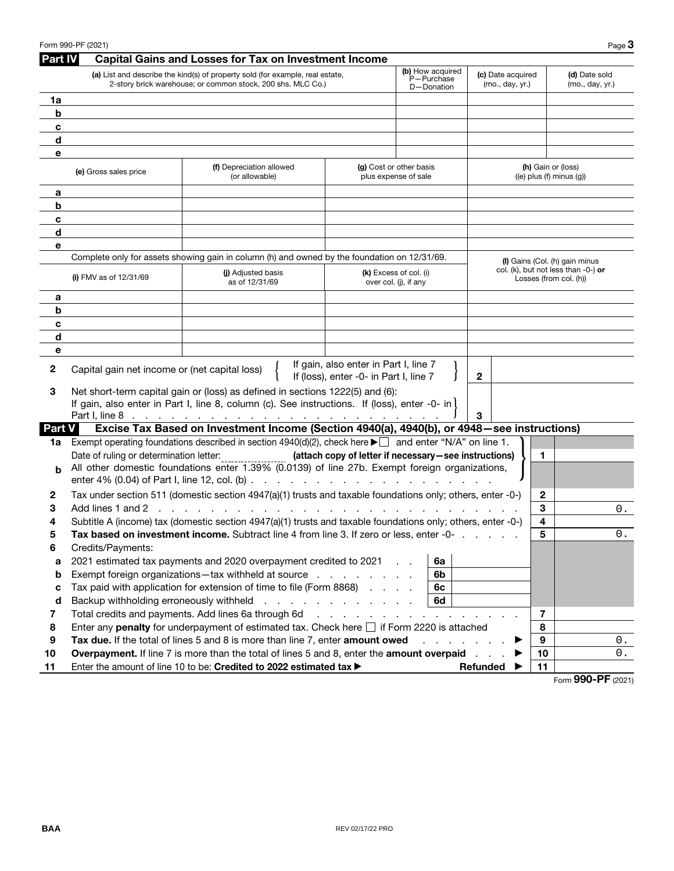|               | Form 990-PF (2021)                                                                                                     |                                                                                                                                              |                                                                                 |                                                 |                                                       | Page $3$                                                                 |
|---------------|------------------------------------------------------------------------------------------------------------------------|----------------------------------------------------------------------------------------------------------------------------------------------|---------------------------------------------------------------------------------|-------------------------------------------------|-------------------------------------------------------|--------------------------------------------------------------------------|
| Part IV       |                                                                                                                        | <b>Capital Gains and Losses for Tax on Investment Income</b>                                                                                 |                                                                                 |                                                 |                                                       |                                                                          |
|               |                                                                                                                        | (a) List and describe the kind(s) of property sold (for example, real estate,<br>2-story brick warehouse; or common stock, 200 shs. MLC Co.) |                                                                                 | (b) How acquired<br>P-Purchase<br>D-Donation    | (c) Date acquired<br>(mo., day, yr.)                  | (d) Date sold<br>(mo., day, yr.)                                         |
| 1a            |                                                                                                                        |                                                                                                                                              |                                                                                 |                                                 |                                                       |                                                                          |
| b             |                                                                                                                        |                                                                                                                                              |                                                                                 |                                                 |                                                       |                                                                          |
| c             |                                                                                                                        |                                                                                                                                              |                                                                                 |                                                 |                                                       |                                                                          |
| d             |                                                                                                                        |                                                                                                                                              |                                                                                 |                                                 |                                                       |                                                                          |
| e             |                                                                                                                        |                                                                                                                                              |                                                                                 |                                                 |                                                       |                                                                          |
|               | (f) Depreciation allowed<br>(g) Cost or other basis<br>(e) Gross sales price<br>(or allowable)<br>plus expense of sale |                                                                                                                                              |                                                                                 |                                                 | (h) Gain or (loss)<br>$((e)$ plus $(f)$ minus $(g)$ ) |                                                                          |
| а             |                                                                                                                        |                                                                                                                                              |                                                                                 |                                                 |                                                       |                                                                          |
| b             |                                                                                                                        |                                                                                                                                              |                                                                                 |                                                 |                                                       |                                                                          |
| c             |                                                                                                                        |                                                                                                                                              |                                                                                 |                                                 |                                                       |                                                                          |
| d             |                                                                                                                        |                                                                                                                                              |                                                                                 |                                                 |                                                       |                                                                          |
| е             |                                                                                                                        |                                                                                                                                              |                                                                                 |                                                 |                                                       |                                                                          |
|               |                                                                                                                        | Complete only for assets showing gain in column (h) and owned by the foundation on 12/31/69.                                                 |                                                                                 |                                                 |                                                       | (I) Gains (Col. (h) gain minus<br>col. (k), but not less than $-0$ -) or |
|               | (i) FMV as of $12/31/69$                                                                                               | (i) Adjusted basis<br>as of 12/31/69                                                                                                         |                                                                                 | (k) Excess of col. (i)<br>over col. (i), if any |                                                       | Losses (from col. (h))                                                   |
| а             |                                                                                                                        |                                                                                                                                              |                                                                                 |                                                 |                                                       |                                                                          |
| b             |                                                                                                                        |                                                                                                                                              |                                                                                 |                                                 |                                                       |                                                                          |
| c             |                                                                                                                        |                                                                                                                                              |                                                                                 |                                                 |                                                       |                                                                          |
| d             |                                                                                                                        |                                                                                                                                              |                                                                                 |                                                 |                                                       |                                                                          |
| е             |                                                                                                                        |                                                                                                                                              |                                                                                 |                                                 |                                                       |                                                                          |
| 2             | Capital gain net income or (net capital loss)                                                                          |                                                                                                                                              | If gain, also enter in Part I, line 7<br>If (loss), enter -0- in Part I, line 7 |                                                 | $\mathbf{2}$                                          |                                                                          |
| З             |                                                                                                                        | Net short-term capital gain or (loss) as defined in sections 1222(5) and (6):                                                                |                                                                                 |                                                 |                                                       |                                                                          |
|               |                                                                                                                        | If gain, also enter in Part I, line 8, column (c). See instructions. If (loss), enter -0- in $\vert$                                         |                                                                                 |                                                 |                                                       |                                                                          |
|               |                                                                                                                        |                                                                                                                                              |                                                                                 |                                                 | 3                                                     |                                                                          |
| <b>Part V</b> |                                                                                                                        | Excise Tax Based on Investment Income (Section 4940(a), 4940(b), or 4948 - see instructions)                                                 |                                                                                 |                                                 |                                                       |                                                                          |
| 1a            |                                                                                                                        | Exempt operating foundations described in section $4940(d)(2)$ , check here $\blacktriangleright \Box$ and enter "N/A" on line 1.            |                                                                                 |                                                 |                                                       |                                                                          |
|               | Date of ruling or determination letter:                                                                                | All other domestic foundations enter 1.39% (0.0139) of line 27b. Exempt foreign organizations,                                               | (attach copy of letter if necessary-see instructions)                           |                                                 | 1                                                     |                                                                          |
| b             |                                                                                                                        |                                                                                                                                              |                                                                                 |                                                 |                                                       |                                                                          |
| 2             |                                                                                                                        | Tax under section 511 (domestic section 4947(a)(1) trusts and taxable foundations only; others, enter -0-)                                   |                                                                                 |                                                 | 2                                                     |                                                                          |
| 3             | Add lines 1 and 2<br><b>Contractor</b>                                                                                 |                                                                                                                                              |                                                                                 |                                                 | 3                                                     | 0.                                                                       |
| 4             |                                                                                                                        | Subtitle A (income) tax (domestic section 4947(a)(1) trusts and taxable foundations only; others, enter -0-)                                 |                                                                                 |                                                 | 4                                                     |                                                                          |
| ວ             |                                                                                                                        | Tax based on investment income. Subtract line 4 from line 3. If zero or less, enter -0-                                                      |                                                                                 |                                                 | 5                                                     | О.                                                                       |
| 6             | Credits/Payments:                                                                                                      |                                                                                                                                              |                                                                                 |                                                 |                                                       |                                                                          |
| a             |                                                                                                                        | 2021 estimated tax payments and 2020 overpayment credited to 2021                                                                            |                                                                                 | 6a                                              |                                                       |                                                                          |
| b             |                                                                                                                        | Exempt foreign organizations—tax withheld at source                                                                                          |                                                                                 | 6b                                              |                                                       |                                                                          |
| c             |                                                                                                                        | Tax paid with application for extension of time to file (Form 8868)                                                                          |                                                                                 | 6c                                              |                                                       |                                                                          |
| d             | Backup withholding erroneously withheld                                                                                |                                                                                                                                              | and a straightful and a straight                                                | 6d                                              |                                                       |                                                                          |
| 7             |                                                                                                                        | Total credits and payments. Add lines 6a through 6d                                                                                          | and the company of the company                                                  | and a state of                                  | $\overline{7}$                                        |                                                                          |
| 8             |                                                                                                                        | Enter any penalty for underpayment of estimated tax. Check here $\Box$ if Form 2220 is attached                                              |                                                                                 |                                                 | 8                                                     |                                                                          |
| 9             |                                                                                                                        | Tax due. If the total of lines 5 and 8 is more than line 7, enter amount owed                                                                |                                                                                 |                                                 | 9                                                     | 0.                                                                       |
| 10            |                                                                                                                        | Overpayment. If line 7 is more than the total of lines 5 and 8, enter the amount overpaid                                                    |                                                                                 |                                                 | 10                                                    | $\boldsymbol{0}$ .                                                       |
| 11            | Enter the amount of line 10 to be: Credited to 2022 estimated tax ><br>Refunded                                        |                                                                                                                                              |                                                                                 |                                                 |                                                       | 11<br>000 DE                                                             |

Form **990-PF** (2021)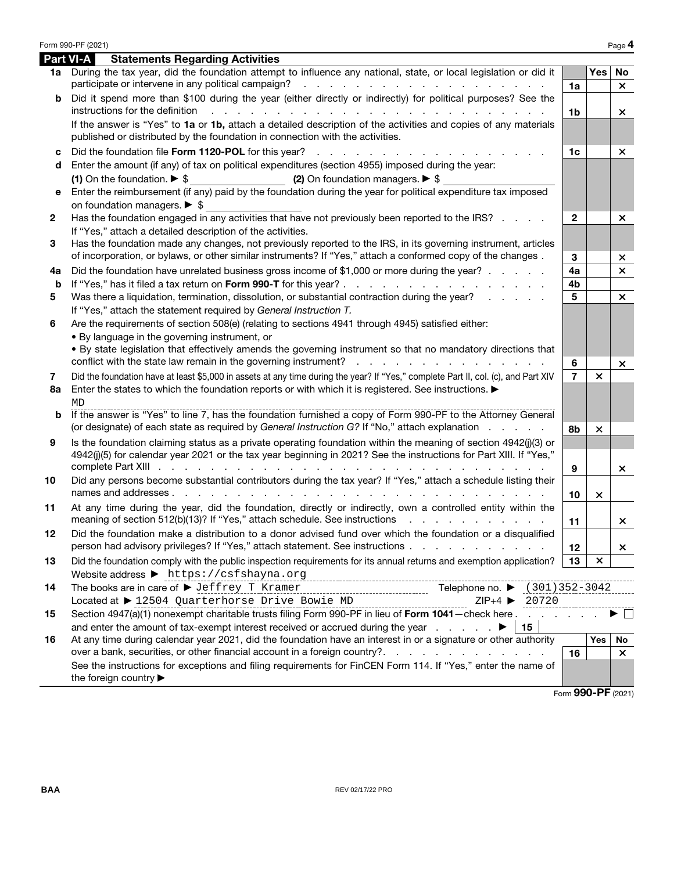|    | Form 990-PF (2021)                                                                                                                                                                                                                                                                                                                                                                                                                                                   |                |                           | Page 4             |
|----|----------------------------------------------------------------------------------------------------------------------------------------------------------------------------------------------------------------------------------------------------------------------------------------------------------------------------------------------------------------------------------------------------------------------------------------------------------------------|----------------|---------------------------|--------------------|
|    | <b>Part VI-A</b><br><b>Statements Regarding Activities</b>                                                                                                                                                                                                                                                                                                                                                                                                           |                |                           |                    |
|    | 1a During the tax year, did the foundation attempt to influence any national, state, or local legislation or did it<br>participate or intervene in any political campaign?<br>a construction of the construction of the construction of                                                                                                                                                                                                                              | 1a             | Yes                       | No<br>$\times$     |
| b  | Did it spend more than \$100 during the year (either directly or indirectly) for political purposes? See the                                                                                                                                                                                                                                                                                                                                                         |                |                           |                    |
|    | instructions for the definition<br>and a construction of the construction of the construction of the construction of the construction of the construction of the construction of the construction of the construction of the construction of the construction of<br>If the answer is "Yes" to 1a or 1b, attach a detailed description of the activities and copies of any materials<br>published or distributed by the foundation in connection with the activities. | 1 <sub>b</sub> |                           | ×                  |
| c  | Did the foundation file Form 1120-POL for this year?                                                                                                                                                                                                                                                                                                                                                                                                                 | 1 <sub>c</sub> |                           | $\times$           |
| d  | Enter the amount (if any) of tax on political expenditures (section 4955) imposed during the year:<br>(1) On the foundation. $\triangleright$ \$<br>(2) On foundation managers. $\triangleright$ \$                                                                                                                                                                                                                                                                  |                |                           |                    |
| е  | Enter the reimbursement (if any) paid by the foundation during the year for political expenditure tax imposed                                                                                                                                                                                                                                                                                                                                                        |                |                           |                    |
|    | on foundation managers. $\triangleright$ \$                                                                                                                                                                                                                                                                                                                                                                                                                          |                |                           |                    |
| 2  | Has the foundation engaged in any activities that have not previously been reported to the IRS?<br>If "Yes," attach a detailed description of the activities.                                                                                                                                                                                                                                                                                                        | $\mathbf{2}$   |                           | $\times$           |
| 3  | Has the foundation made any changes, not previously reported to the IRS, in its governing instrument, articles<br>of incorporation, or bylaws, or other similar instruments? If "Yes," attach a conformed copy of the changes.                                                                                                                                                                                                                                       | 3              |                           | ×                  |
| 4а | Did the foundation have unrelated business gross income of \$1,000 or more during the year?                                                                                                                                                                                                                                                                                                                                                                          | 4a             |                           | $\times$           |
| b  |                                                                                                                                                                                                                                                                                                                                                                                                                                                                      | 4 <sub>b</sub> |                           |                    |
| 5  | Was there a liquidation, termination, dissolution, or substantial contraction during the year?<br>If "Yes," attach the statement required by General Instruction T.                                                                                                                                                                                                                                                                                                  | 5              |                           | $\times$           |
| 6  | Are the requirements of section 508(e) (relating to sections 4941 through 4945) satisfied either:                                                                                                                                                                                                                                                                                                                                                                    |                |                           |                    |
|    | . By language in the governing instrument, or                                                                                                                                                                                                                                                                                                                                                                                                                        |                |                           |                    |
|    | . By state legislation that effectively amends the governing instrument so that no mandatory directions that                                                                                                                                                                                                                                                                                                                                                         |                |                           |                    |
|    |                                                                                                                                                                                                                                                                                                                                                                                                                                                                      | 6              |                           | ×                  |
| 7  | Did the foundation have at least \$5,000 in assets at any time during the year? If "Yes," complete Part II, col. (c), and Part XIV                                                                                                                                                                                                                                                                                                                                   | $\overline{7}$ | $\boldsymbol{\mathsf{x}}$ |                    |
| 8a | Enter the states to which the foundation reports or with which it is registered. See instructions.<br>MD                                                                                                                                                                                                                                                                                                                                                             |                |                           |                    |
| b  | If the answer is "Yes" to line 7, has the foundation furnished a copy of Form 990-PF to the Attorney General<br>(or designate) of each state as required by General Instruction G? If "No," attach explanation                                                                                                                                                                                                                                                       |                |                           |                    |
|    | Is the foundation claiming status as a private operating foundation within the meaning of section 4942(j)(3) or                                                                                                                                                                                                                                                                                                                                                      | 8b             | ×                         |                    |
| 9  | 4942(j)(5) for calendar year 2021 or the tax year beginning in 2021? See the instructions for Part XIII. If "Yes,"                                                                                                                                                                                                                                                                                                                                                   | 9              |                           | ×.                 |
| 10 | Did any persons become substantial contributors during the tax year? If "Yes," attach a schedule listing their                                                                                                                                                                                                                                                                                                                                                       |                |                           |                    |
|    |                                                                                                                                                                                                                                                                                                                                                                                                                                                                      | 10             | $\times$                  |                    |
| 11 | At any time during the year, did the foundation, directly or indirectly, own a controlled entity within the<br>meaning of section 512(b)(13)? If "Yes," attach schedule. See instructions                                                                                                                                                                                                                                                                            | 11             |                           | ×.                 |
|    | Did the foundation make a distribution to a donor advised fund over which the foundation or a disqualified<br>person had advisory privileges? If "Yes," attach statement. See instructions                                                                                                                                                                                                                                                                           | 12             |                           | ×                  |
| 13 | Did the foundation comply with the public inspection requirements for its annual returns and exemption application?<br>Website address > https://csfshayna.org                                                                                                                                                                                                                                                                                                       | 13             | ×                         |                    |
| 14 | The books are in care of $\blacktriangleright$ Jeffrey T Kramer<br>Telephone no. ▶ (301) 352-3042<br>Located at ▶ 12504 Quarterhorse Drive Bowie MD<br>$ZIP+4$ 20720<br>--------------------------------                                                                                                                                                                                                                                                             |                |                           |                    |
| 15 | Section 4947(a)(1) nonexempt charitable trusts filing Form 990-PF in lieu of Form 1041 - check here                                                                                                                                                                                                                                                                                                                                                                  |                |                           |                    |
| 16 | 15<br>At any time during calendar year 2021, did the foundation have an interest in or a signature or other authority                                                                                                                                                                                                                                                                                                                                                |                | Yes                       | No                 |
|    | over a bank, securities, or other financial account in a foreign country?                                                                                                                                                                                                                                                                                                                                                                                            | 16             |                           | $\times$           |
|    | See the instructions for exceptions and filing requirements for FinCEN Form 114. If "Yes," enter the name of<br>the foreign country ▶                                                                                                                                                                                                                                                                                                                                |                |                           |                    |
|    |                                                                                                                                                                                                                                                                                                                                                                                                                                                                      |                |                           | Form 990-PF (2021) |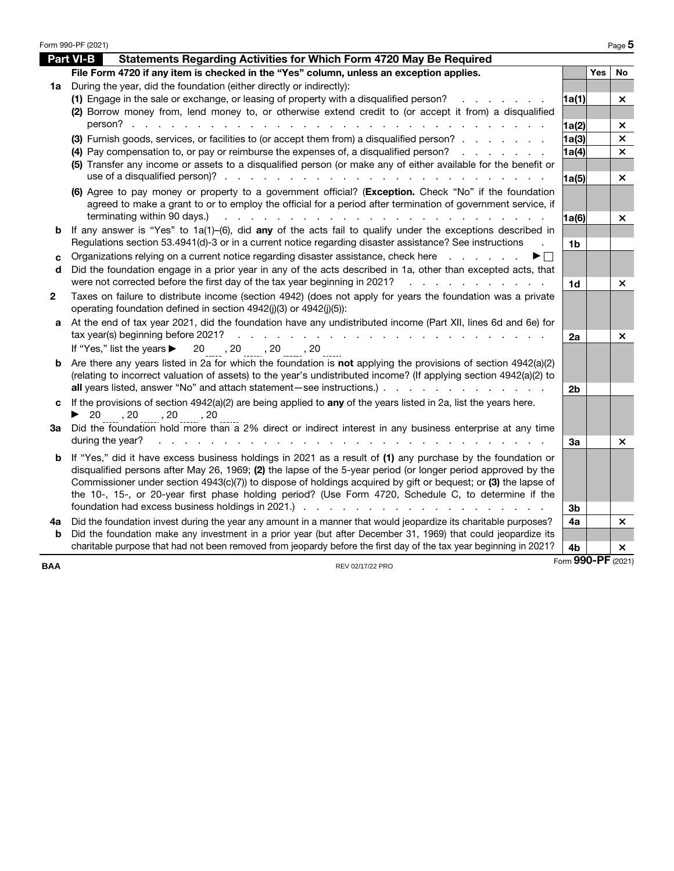|            | Form 990-PF (2021)                                                                                                                                                                                                                                            |                    |     | Page 5                    |
|------------|---------------------------------------------------------------------------------------------------------------------------------------------------------------------------------------------------------------------------------------------------------------|--------------------|-----|---------------------------|
|            | <b>Part VI-B</b><br>Statements Regarding Activities for Which Form 4720 May Be Required                                                                                                                                                                       |                    |     |                           |
|            | File Form 4720 if any item is checked in the "Yes" column, unless an exception applies.                                                                                                                                                                       |                    | Yes | No                        |
| 1a         | During the year, did the foundation (either directly or indirectly):                                                                                                                                                                                          |                    |     |                           |
|            | (1) Engage in the sale or exchange, or leasing of property with a disqualified person?                                                                                                                                                                        | 1a(1)              |     | ×                         |
|            | (2) Borrow money from, lend money to, or otherwise extend credit to (or accept it from) a disqualified                                                                                                                                                        |                    |     |                           |
|            | person?                                                                                                                                                                                                                                                       | 1a(2)              |     | ×                         |
|            | (3) Furnish goods, services, or facilities to (or accept them from) a disqualified person?                                                                                                                                                                    | 1a(3)              |     | $\boldsymbol{\mathsf{x}}$ |
|            | (4) Pay compensation to, or pay or reimburse the expenses of, a disqualified person?<br>and the company of the company of                                                                                                                                     | 1a(4)              |     | $\boldsymbol{\times}$     |
|            | (5) Transfer any income or assets to a disqualified person (or make any of either available for the benefit or                                                                                                                                                |                    |     |                           |
|            |                                                                                                                                                                                                                                                               | 1a(5)              |     | ×                         |
|            | (6) Agree to pay money or property to a government official? (Exception. Check "No" if the foundation<br>agreed to make a grant to or to employ the official for a period after termination of government service, if                                         |                    |     |                           |
|            | terminating within 90 days.)<br>a construction of the construction of the construction of the construction of the construction of the construction of the construction of the construction of the construction of the construction of the construction of the | 1a(6)              |     | $\times$                  |
| b          | If any answer is "Yes" to 1a(1)-(6), did any of the acts fail to qualify under the exceptions described in                                                                                                                                                    |                    |     |                           |
|            | Regulations section 53.4941(d)-3 or in a current notice regarding disaster assistance? See instructions                                                                                                                                                       | 1 <sub>b</sub>     |     |                           |
| C          | Organizations relying on a current notice regarding disaster assistance, check here<br>and a state of the state of the                                                                                                                                        |                    |     |                           |
| d          | Did the foundation engage in a prior year in any of the acts described in 1a, other than excepted acts, that                                                                                                                                                  |                    |     |                           |
|            | were not corrected before the first day of the tax year beginning in 2021?<br>and a straightful contract and a straight                                                                                                                                       | 1d                 |     | ×                         |
| 2          | Taxes on failure to distribute income (section 4942) (does not apply for years the foundation was a private                                                                                                                                                   |                    |     |                           |
|            | operating foundation defined in section 4942(j)(3) or 4942(j)(5)):                                                                                                                                                                                            |                    |     |                           |
| a          | At the end of tax year 2021, did the foundation have any undistributed income (Part XII, lines 6d and 6e) for                                                                                                                                                 |                    |     |                           |
|            | tax year(s) beginning before 2021?<br>.                                                                                                                                                                                                                       | 2a                 |     | ×                         |
|            | If "Yes," list the years > 20 , 20 , 20 , 20 , 20 , 20                                                                                                                                                                                                        |                    |     |                           |
| b          | Are there any years listed in 2a for which the foundation is not applying the provisions of section $4942(a)(2)$                                                                                                                                              |                    |     |                           |
|            | (relating to incorrect valuation of assets) to the year's undistributed income? (If applying section 4942(a)(2) to                                                                                                                                            |                    |     |                           |
|            | all years listed, answer "No" and attach statement – see instructions.)                                                                                                                                                                                       | 2 <sub>b</sub>     |     |                           |
| с          | If the provisions of section $4942(a)(2)$ are being applied to any of the years listed in 2a, list the years here.                                                                                                                                            |                    |     |                           |
|            | ▶ 20, 20, 20, 20, 20<br>Did the foundation hold more than a 2% direct or indirect interest in any business enterprise at any time                                                                                                                             |                    |     |                           |
| За         | during the year?                                                                                                                                                                                                                                              | 3a                 |     | $\times$                  |
|            |                                                                                                                                                                                                                                                               |                    |     |                           |
| b          | If "Yes," did it have excess business holdings in 2021 as a result of (1) any purchase by the foundation or<br>disqualified persons after May 26, 1969; (2) the lapse of the 5-year period (or longer period approved by the                                  |                    |     |                           |
|            | Commissioner under section 4943(c)(7)) to dispose of holdings acquired by gift or bequest; or (3) the lapse of                                                                                                                                                |                    |     |                           |
|            | the 10-, 15-, or 20-year first phase holding period? (Use Form 4720, Schedule C, to determine if the                                                                                                                                                          |                    |     |                           |
|            |                                                                                                                                                                                                                                                               | 3b                 |     |                           |
| 4а         | Did the foundation invest during the year any amount in a manner that would jeopardize its charitable purposes?                                                                                                                                               | 4a                 |     | $\times$                  |
| b          | Did the foundation make any investment in a prior year (but after December 31, 1969) that could jeopardize its                                                                                                                                                |                    |     |                           |
|            | charitable purpose that had not been removed from jeopardy before the first day of the tax year beginning in 2021?                                                                                                                                            | 4b                 |     | $\times$                  |
| <b>BAA</b> | REV 02/17/22 PRO                                                                                                                                                                                                                                              | Form 990-PF (2021) |     |                           |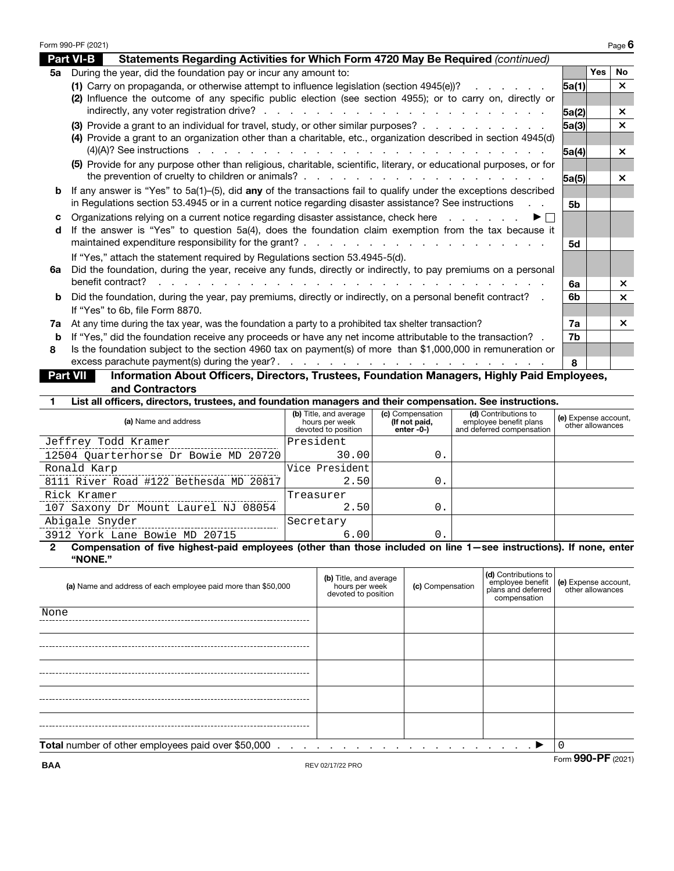|          | Form 990-PF (2021)                                                                                                                                                                                                                 |                |            | Page $6$              |
|----------|------------------------------------------------------------------------------------------------------------------------------------------------------------------------------------------------------------------------------------|----------------|------------|-----------------------|
|          | <b>Part VI-B</b><br>Statements Regarding Activities for Which Form 4720 May Be Required (continued)                                                                                                                                |                |            |                       |
| 5а       | During the year, did the foundation pay or incur any amount to:                                                                                                                                                                    |                | <b>Yes</b> | <b>No</b>             |
|          | (1) Carry on propaganda, or otherwise attempt to influence legislation (section 4945(e))?<br>and a state of the state of the                                                                                                       | 5a(1)          |            | $\times$              |
|          | (2) Influence the outcome of any specific public election (see section 4955); or to carry on, directly or                                                                                                                          |                |            |                       |
|          |                                                                                                                                                                                                                                    | 5a(2)          |            | $\times$              |
|          | (3) Provide a grant to an individual for travel, study, or other similar purposes?                                                                                                                                                 | 5a(3)          |            | $\mathsf{x}$          |
|          | (4) Provide a grant to an organization other than a charitable, etc., organization described in section 4945(d)                                                                                                                    |                |            |                       |
|          | $(4)(A)?$ See instructions entertainment in the contract of the contract of the contract of the contract of the contract of the contract of $(4)(A)?$ See instructions entertainment of the contract of the contract of $(4)(A)$ ? | 5a(4)          |            | $\times$              |
|          | (5) Provide for any purpose other than religious, charitable, scientific, literary, or educational purposes, or for                                                                                                                |                |            |                       |
| b        | If any answer is "Yes" to $5a(1)$ –(5), did any of the transactions fail to qualify under the exceptions described                                                                                                                 | 5a(5)          |            | $\times$              |
|          | in Regulations section 53.4945 or in a current notice regarding disaster assistance? See instructions                                                                                                                              | 5 <sub>b</sub> |            |                       |
| c        | Organizations relying on a current notice regarding disaster assistance, check here<br>▶ │ │                                                                                                                                       |                |            |                       |
| d        | If the answer is "Yes" to question 5a(4), does the foundation claim exemption from the tax because it                                                                                                                              |                |            |                       |
|          |                                                                                                                                                                                                                                    | 5d             |            |                       |
|          | If "Yes," attach the statement required by Regulations section 53.4945-5(d).                                                                                                                                                       |                |            |                       |
| 6а       | Did the foundation, during the year, receive any funds, directly or indirectly, to pay premiums on a personal                                                                                                                      |                |            |                       |
|          | benefit contract?                                                                                                                                                                                                                  | 6а             |            | $\times$              |
| b        | Did the foundation, during the year, pay premiums, directly or indirectly, on a personal benefit contract? .                                                                                                                       | 6b             |            | $\boldsymbol{\times}$ |
|          | If "Yes" to 6b, file Form 8870.                                                                                                                                                                                                    |                |            |                       |
| 7a       | At any time during the tax year, was the foundation a party to a prohibited tax shelter transaction?                                                                                                                               | 7a             |            | $\mathsf{x}$          |
| b        | If "Yes," did the foundation receive any proceeds or have any net income attributable to the transaction? .                                                                                                                        | 7b             |            |                       |
| 8        | Is the foundation subject to the section 4960 tax on payment(s) of more than \$1,000,000 in remuneration or                                                                                                                        |                |            |                       |
|          | excess parachute payment(s) during the year?.<br>$\frac{1}{2}$ , $\frac{1}{2}$ , $\frac{1}{2}$ , $\frac{1}{2}$ , $\frac{1}{2}$ , $\frac{1}{2}$ , $\frac{1}{2}$ , $\frac{1}{2}$ , $\frac{1}{2}$ , $\frac{1}{2}$                     | 8              |            |                       |
| Part VII | Information About Officers, Directors, Trustees, Foundation Managers, Highly Paid Employees,                                                                                                                                       |                |            |                       |
|          | and Contractors                                                                                                                                                                                                                    |                |            |                       |

**1 List all officers, directors, trustees, and foundation managers and their compensation. See instructions.**

| (a) Name and address                   | (b) Title, and average<br>hours per week<br>devoted to position | (c) Compensation<br>(If not paid,<br>enter -0-) | (d) Contributions to<br>employee benefit plans<br>and deferred compensation | (e) Expense account,<br>other allowances |
|----------------------------------------|-----------------------------------------------------------------|-------------------------------------------------|-----------------------------------------------------------------------------|------------------------------------------|
| Jeffrey Todd Kramer                    | President                                                       |                                                 |                                                                             |                                          |
| 12504 Quarterhorse Dr Bowie MD 20720   | 30.00                                                           | 0.                                              |                                                                             |                                          |
| Ronald Karp                            | Vice President                                                  |                                                 |                                                                             |                                          |
| 8111 River Road #122 Bethesda MD 20817 | 2.50                                                            | $\mathbf{0}$                                    |                                                                             |                                          |
| Rick Kramer                            | Treasurer                                                       |                                                 |                                                                             |                                          |
| 107 Saxony Dr Mount Laurel NJ 08054    | 2.50                                                            | 0.                                              |                                                                             |                                          |
| Abigale Snyder                         | Secretary                                                       |                                                 |                                                                             |                                          |
| 3912 York Lane Bowie MD 20715          | 6.00                                                            | 0                                               |                                                                             |                                          |

**2 Compensation of five highest-paid employees (other than those included on line 1—see instructions). If none, enter "NONE."**

| (a) Name and address of each employee paid more than \$50,000 | (b) Title, and average<br>hours per week<br>devoted to position | (c) Compensation | (d) Contributions to<br>compensation | employee benefit (e) Expense account,<br>plans and deferred other allowances |  |
|---------------------------------------------------------------|-----------------------------------------------------------------|------------------|--------------------------------------|------------------------------------------------------------------------------|--|
| None                                                          |                                                                 |                  |                                      |                                                                              |  |
|                                                               |                                                                 |                  |                                      |                                                                              |  |
|                                                               |                                                                 |                  |                                      |                                                                              |  |
|                                                               |                                                                 |                  |                                      |                                                                              |  |
|                                                               |                                                                 |                  |                                      |                                                                              |  |
| Total number of other employees paid over \$50,000            |                                                                 |                  | <u> 2002 - 2003</u> - 2004 - 2005    |                                                                              |  |
| $E_{\text{arm}}$ QQ $\Omega$ _DE (2021)                       |                                                                 |                  |                                      |                                                                              |  |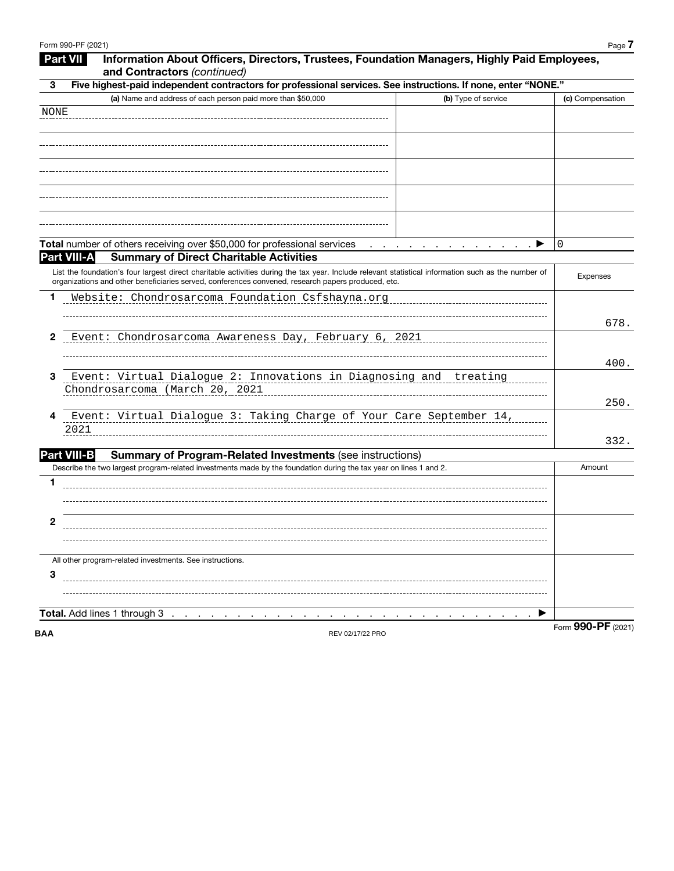|             | <b>Part VII</b><br>Information About Officers, Directors, Trustees, Foundation Managers, Highly Paid Employees,<br>and Contractors (continued)                                                                                                            |                   |
|-------------|-----------------------------------------------------------------------------------------------------------------------------------------------------------------------------------------------------------------------------------------------------------|-------------------|
| 3           | Five highest-paid independent contractors for professional services. See instructions. If none, enter "NONE."                                                                                                                                             |                   |
|             | (a) Name and address of each person paid more than \$50,000<br>(b) Type of service                                                                                                                                                                        | (c) Compensation  |
| <b>NONE</b> |                                                                                                                                                                                                                                                           |                   |
|             |                                                                                                                                                                                                                                                           |                   |
|             |                                                                                                                                                                                                                                                           |                   |
|             |                                                                                                                                                                                                                                                           |                   |
|             |                                                                                                                                                                                                                                                           |                   |
|             |                                                                                                                                                                                                                                                           |                   |
|             |                                                                                                                                                                                                                                                           |                   |
|             |                                                                                                                                                                                                                                                           |                   |
|             |                                                                                                                                                                                                                                                           |                   |
|             | Total number of others receiving over \$50,000 for professional services<br>$\mathcal{L}$ , and the set of the set of the set of the set of $\mathcal{L}$                                                                                                 | 0                 |
|             | Part VIII-A<br><b>Summary of Direct Charitable Activities</b>                                                                                                                                                                                             |                   |
|             | List the foundation's four largest direct charitable activities during the tax year. Include relevant statistical information such as the number of<br>organizations and other beneficiaries served, conferences convened, research papers produced, etc. | <b>Expenses</b>   |
| 1           | Website: Chondrosarcoma Foundation Csfshayna.org                                                                                                                                                                                                          |                   |
|             |                                                                                                                                                                                                                                                           |                   |
| 2           | Event: Chondrosarcoma Awareness Day, February 6, 2021                                                                                                                                                                                                     | 678.              |
|             |                                                                                                                                                                                                                                                           |                   |
|             |                                                                                                                                                                                                                                                           | 400.              |
| 3           | Event: Virtual Dialogue 2: Innovations in Diagnosing and treating                                                                                                                                                                                         |                   |
|             | Chondrosarcoma (March 20, 2021                                                                                                                                                                                                                            |                   |
|             |                                                                                                                                                                                                                                                           | 250.              |
| 4           | Event: Virtual Dialogue 3: Taking Charge of Your Care September 14,<br>2021                                                                                                                                                                               |                   |
|             |                                                                                                                                                                                                                                                           | 332.              |
|             | <b>Part VIII-B</b><br><b>Summary of Program-Related Investments (see instructions)</b>                                                                                                                                                                    |                   |
|             | Describe the two largest program-related investments made by the foundation during the tax year on lines 1 and 2.                                                                                                                                         | Amount            |
| 1           |                                                                                                                                                                                                                                                           |                   |
|             |                                                                                                                                                                                                                                                           |                   |
|             |                                                                                                                                                                                                                                                           |                   |
| 2           |                                                                                                                                                                                                                                                           |                   |
|             |                                                                                                                                                                                                                                                           |                   |
|             | All other program-related investments. See instructions.                                                                                                                                                                                                  |                   |
| 3           |                                                                                                                                                                                                                                                           |                   |
|             |                                                                                                                                                                                                                                                           |                   |
|             |                                                                                                                                                                                                                                                           |                   |
|             | Total. Add lines 1 through 3<br>▸                                                                                                                                                                                                                         | Form 990-PF (2021 |
| <b>BAA</b>  | REV 02/17/22 PRO                                                                                                                                                                                                                                          |                   |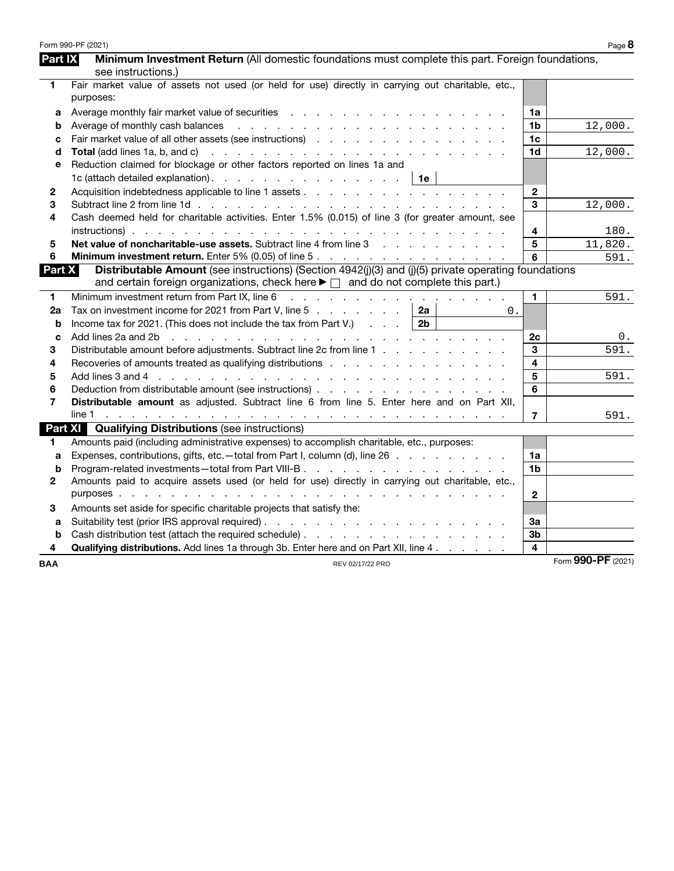|                | Form 990-PF (2021)                                                                                                                                                                                                                                   |                         | Page 8             |
|----------------|------------------------------------------------------------------------------------------------------------------------------------------------------------------------------------------------------------------------------------------------------|-------------------------|--------------------|
| <b>Part IX</b> | Minimum Investment Return (All domestic foundations must complete this part. Foreign foundations,                                                                                                                                                    |                         |                    |
|                | see instructions.)                                                                                                                                                                                                                                   |                         |                    |
| 1              | Fair market value of assets not used (or held for use) directly in carrying out charitable, etc.,                                                                                                                                                    |                         |                    |
|                | purposes:                                                                                                                                                                                                                                            |                         |                    |
| a              | Average monthly fair market value of securities enterstanding and an analyze of the second of the second of the second second second second second second second second second second second second second second second secon                       | 1a                      |                    |
| b              | Average of monthly cash balances<br>the contract of the contract of the contract of the contract of the contract of                                                                                                                                  | 1 <sub>b</sub>          | 12,000.            |
| c              |                                                                                                                                                                                                                                                      | 1 <sub>c</sub>          |                    |
| d              |                                                                                                                                                                                                                                                      | 1 <sub>d</sub>          | 12,000.            |
| e              | Reduction claimed for blockage or other factors reported on lines 1a and                                                                                                                                                                             |                         |                    |
|                | 1c (attach detailed explanation). $\ldots$ $\ldots$ $\ldots$ $\ldots$ $\ldots$ $\ldots$   1e                                                                                                                                                         |                         |                    |
| 2              |                                                                                                                                                                                                                                                      | $\mathbf 2$             |                    |
| 3              |                                                                                                                                                                                                                                                      | 3                       | 12,000.            |
| 4              | Cash deemed held for charitable activities. Enter 1.5% (0.015) of line 3 (for greater amount, see                                                                                                                                                    |                         |                    |
|                |                                                                                                                                                                                                                                                      | 4                       | 180.               |
| 5              | Net value of noncharitable-use assets. Subtract line 4 from line 3                                                                                                                                                                                   | 5                       | 11,820.            |
| 6              | Minimum investment return. Enter 5% (0.05) of line 5.                                                                                                                                                                                                | 6                       | 591.               |
| <b>Part X</b>  | Distributable Amount (see instructions) (Section 4942(j)(3) and (j)(5) private operating foundations                                                                                                                                                 |                         |                    |
|                | and certain foreign organizations, check here $\blacktriangleright \Box$ and do not complete this part.)                                                                                                                                             |                         |                    |
| 1              | Minimum investment return from Part IX, line 6<br>a construction of the construction of the construction                                                                                                                                             | $\mathbf{1}$            | 591.               |
| 2a             | Tax on investment income for 2021 from Part V, line 5 $\ldots$ $\ldots$ $\ldots$   2a<br>0.                                                                                                                                                          |                         |                    |
| b              | Income tax for 2021. (This does not include the tax from Part V.) $\ldots$   2b                                                                                                                                                                      |                         |                    |
| C              | Add lines 2a and 2b<br>and a construction of the construction of the construction of the construction of the construction of the construction of the construction of the construction of the construction of the construction of the construction of | 2c                      | 0.                 |
| 3              | Distributable amount before adjustments. Subtract line 2c from line 1                                                                                                                                                                                | 3                       | 591.               |
| 4              |                                                                                                                                                                                                                                                      | 4                       |                    |
| 5              |                                                                                                                                                                                                                                                      | $\overline{\mathbf{5}}$ | 591.               |
| 6              |                                                                                                                                                                                                                                                      | 6                       |                    |
| 7              | Distributable amount as adjusted. Subtract line 6 from line 5. Enter here and on Part XII,                                                                                                                                                           |                         |                    |
|                |                                                                                                                                                                                                                                                      | $\overline{7}$          | 591.               |
|                | <b>Part XI</b> Qualifying Distributions (see instructions)                                                                                                                                                                                           |                         |                    |
| 1.             | Amounts paid (including administrative expenses) to accomplish charitable, etc., purposes:                                                                                                                                                           |                         |                    |
| a              | Expenses, contributions, gifts, etc. - total from Part I, column (d), line 26                                                                                                                                                                        | 1a                      |                    |
| b              |                                                                                                                                                                                                                                                      | 1 <sub>b</sub>          |                    |
| 2              | Amounts paid to acquire assets used (or held for use) directly in carrying out charitable, etc.,                                                                                                                                                     |                         |                    |
|                |                                                                                                                                                                                                                                                      | $\mathbf{2}$            |                    |
| 3              | Amounts set aside for specific charitable projects that satisfy the:                                                                                                                                                                                 |                         |                    |
| a              |                                                                                                                                                                                                                                                      | За                      |                    |
| b              |                                                                                                                                                                                                                                                      | 3 <sub>b</sub>          |                    |
| 4              | <b>Qualifying distributions.</b> Add lines 1a through 3b. Enter here and on Part XII, line 4.                                                                                                                                                        | $\overline{\mathbf{4}}$ |                    |
| <b>BAA</b>     | REV 02/17/22 PRO                                                                                                                                                                                                                                     |                         | Form 990-PF (2021) |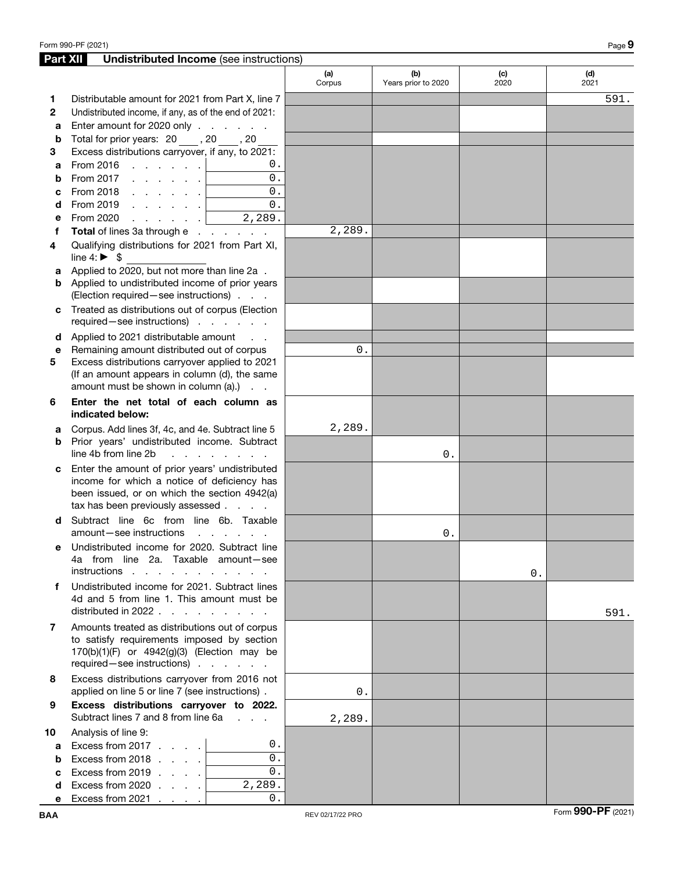| Part XII       | <b>Undistributed Income</b> (see instructions)                                                                                  |               |                            |             |             |
|----------------|---------------------------------------------------------------------------------------------------------------------------------|---------------|----------------------------|-------------|-------------|
|                |                                                                                                                                 | (a)<br>Corpus | (b)<br>Years prior to 2020 | (c)<br>2020 | (d)<br>2021 |
| 1.             | Distributable amount for 2021 from Part X, line 7                                                                               |               |                            |             | 591.        |
| $\mathbf{2}$   | Undistributed income, if any, as of the end of 2021:                                                                            |               |                            |             |             |
| a              | Enter amount for 2020 only                                                                                                      |               |                            |             |             |
| b              | Total for prior years: 20, 30, 20                                                                                               |               |                            |             |             |
| 3              | Excess distributions carryover, if any, to 2021:                                                                                |               |                            |             |             |
| a              | From 2016 $\ldots$ $\ldots$ $\ldots$<br>0.                                                                                      |               |                            |             |             |
| b              | 0.<br>From 2017 $\, \cdot \,$ $\, \cdot \,$ $\, \cdot \,$ $\, \cdot \,$ $\,$ $\,$                                               |               |                            |             |             |
| C              | 0.<br>From 2018                                                                                                                 |               |                            |             |             |
| d              | 0.<br>From 2019 $\, \ldots \, \ldots \, \, . \, \,$                                                                             |               |                            |             |             |
| е              | 2,289.<br>From 2020<br><b><i>Contract Contract Contract</i></b>                                                                 |               |                            |             |             |
| f              | Total of lines 3a through e                                                                                                     | 2,289.        |                            |             |             |
| 4              | Qualifying distributions for 2021 from Part XI,<br>line 4: $\triangleright$ \$                                                  |               |                            |             |             |
| a              | Applied to 2020, but not more than line 2a.                                                                                     |               |                            |             |             |
|                | <b>b</b> Applied to undistributed income of prior years                                                                         |               |                            |             |             |
|                | (Election required - see instructions)                                                                                          |               |                            |             |             |
| C              | Treated as distributions out of corpus (Election<br>required-see instructions)                                                  |               |                            |             |             |
| d              | Applied to 2021 distributable amount<br>$\sim$ $\sim$ $\sim$                                                                    |               |                            |             |             |
| e              | Remaining amount distributed out of corpus                                                                                      | 0.            |                            |             |             |
| 5              | Excess distributions carryover applied to 2021                                                                                  |               |                            |             |             |
|                | (If an amount appears in column (d), the same<br>amount must be shown in column (a).)                                           |               |                            |             |             |
| 6              | Enter the net total of each column as<br>indicated below:                                                                       |               |                            |             |             |
| a              | Corpus. Add lines 3f, 4c, and 4e. Subtract line 5                                                                               | 2,289.        |                            |             |             |
| b              | Prior years' undistributed income. Subtract<br>line 4b from line 2b<br>.                                                        |               | 0.                         |             |             |
| c              | Enter the amount of prior years' undistributed                                                                                  |               |                            |             |             |
|                | income for which a notice of deficiency has<br>been issued, or on which the section 4942(a)<br>tax has been previously assessed |               |                            |             |             |
| d              | Subtract line 6c from line 6b. Taxable                                                                                          |               |                            |             |             |
|                | amount-see instructions<br>and the contract of the con-                                                                         |               | $0$ .                      |             |             |
|                | Undistributed income for 2020. Subtract line<br>4a from line 2a. Taxable amount-see<br>instructions                             |               |                            | 0.          |             |
| f              | Undistributed income for 2021. Subtract lines                                                                                   |               |                            |             |             |
|                | 4d and 5 from line 1. This amount must be                                                                                       |               |                            |             |             |
|                | distributed in 2022 $\ldots$ , $\ldots$                                                                                         |               |                            |             | 591.        |
| $\overline{7}$ | Amounts treated as distributions out of corpus                                                                                  |               |                            |             |             |
|                | to satisfy requirements imposed by section<br>170(b)(1)(F) or 4942(g)(3) (Election may be<br>required - see instructions)       |               |                            |             |             |
| 8              | Excess distributions carryover from 2016 not                                                                                    |               |                            |             |             |
|                | applied on line 5 or line 7 (see instructions).                                                                                 | 0.            |                            |             |             |
| 9              | Excess distributions carryover to 2022.<br>Subtract lines 7 and 8 from line 6a<br>$\mathbf{1}$ and $\mathbf{1}$                 | 2,289.        |                            |             |             |
| 10             | Analysis of line 9:                                                                                                             |               |                            |             |             |
| a              | 0.<br>Excess from 2017                                                                                                          |               |                            |             |             |
| b              | $\overline{0}$ .<br>Excess from 2018                                                                                            |               |                            |             |             |
| C              | $\overline{0}$ .<br>Excess from 2019                                                                                            |               |                            |             |             |
| d              | $\overline{2,289}$ .<br>Excess from 2020 $\ldots$ .                                                                             |               |                            |             |             |
| е              | $0$ .<br>Excess from $2021$                                                                                                     |               |                            |             |             |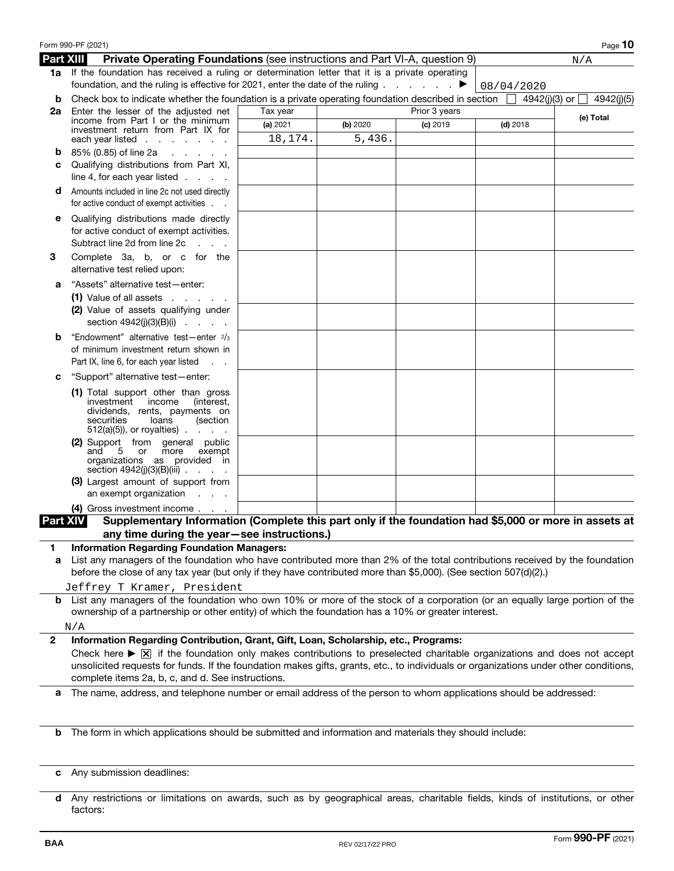|                  | Form 990-PF (2021)                                                                                                                                |          |          |               |            | Page 10                         |
|------------------|---------------------------------------------------------------------------------------------------------------------------------------------------|----------|----------|---------------|------------|---------------------------------|
| <b>Part XIII</b> | <b>Private Operating Foundations (see instructions and Part VI-A, question 9)</b>                                                                 |          |          |               |            | N/A                             |
|                  | 1a If the foundation has received a ruling or determination letter that it is a private operating                                                 |          |          |               |            |                                 |
|                  | foundation, and the ruling is effective for 2021, enter the date of the ruling                                                                    |          |          | ▶             | 08/04/2020 |                                 |
| b                | Check box to indicate whether the foundation is a private operating foundation described in section                                               |          |          |               | $\Box$     | 4942(j)(3) or $\Box$ 4942(j)(5) |
| 2a               | Enter the lesser of the adjusted net                                                                                                              | Tax year |          | Prior 3 years |            | (e) Total                       |
|                  | income from Part I or the minimum<br>investment return from Part IX for                                                                           | (a) 2021 | (b) 2020 | $(c)$ 2019    | $(d)$ 2018 |                                 |
|                  | each year listed $\ldots$                                                                                                                         | 18,174.  | 5,436.   |               |            |                                 |
| b                | 85% (0.85) of line 2a<br>and the state of the state of                                                                                            |          |          |               |            |                                 |
| с                | Qualifying distributions from Part XI,                                                                                                            |          |          |               |            |                                 |
|                  | line 4, for each year listed $\ldots$ .                                                                                                           |          |          |               |            |                                 |
| d                | Amounts included in line 2c not used directly                                                                                                     |          |          |               |            |                                 |
|                  | for active conduct of exempt activities                                                                                                           |          |          |               |            |                                 |
| е                | Qualifying distributions made directly                                                                                                            |          |          |               |            |                                 |
|                  | for active conduct of exempt activities.                                                                                                          |          |          |               |            |                                 |
|                  | Subtract line 2d from line 2c<br><b>Service</b>                                                                                                   |          |          |               |            |                                 |
| 3                | Complete 3a, b, or c for the                                                                                                                      |          |          |               |            |                                 |
|                  | alternative test relied upon:                                                                                                                     |          |          |               |            |                                 |
| а                | "Assets" alternative test-enter:                                                                                                                  |          |          |               |            |                                 |
|                  | $(1)$ Value of all assets $\cdot \cdot \cdot \cdot$ .                                                                                             |          |          |               |            |                                 |
|                  | (2) Value of assets qualifying under                                                                                                              |          |          |               |            |                                 |
|                  | section $4942(j)(3)(B)(i)$                                                                                                                        |          |          |               |            |                                 |
| b                | "Endowment" alternative test-enter 2/3                                                                                                            |          |          |               |            |                                 |
|                  | of minimum investment return shown in                                                                                                             |          |          |               |            |                                 |
|                  | Part IX, line 6, for each year listed<br>$\sim 100$ km s $^{-1}$                                                                                  |          |          |               |            |                                 |
| с                | "Support" alternative test-enter:                                                                                                                 |          |          |               |            |                                 |
|                  | (1) Total support other than gross                                                                                                                |          |          |               |            |                                 |
|                  | investment<br>income<br>(interest,                                                                                                                |          |          |               |            |                                 |
|                  | dividends, rents, payments on<br>securities<br>loans<br>(section                                                                                  |          |          |               |            |                                 |
|                  | $512(a)(5)$ , or royalties).<br><b>Contract Contract</b>                                                                                          |          |          |               |            |                                 |
|                  | (2) Support from general public                                                                                                                   |          |          |               |            |                                 |
|                  | and<br>5 or<br>more<br>exempt                                                                                                                     |          |          |               |            |                                 |
|                  | organizations as provided in<br>section $4942(j)(3)(B)(iii)$                                                                                      |          |          |               |            |                                 |
|                  | (3) Largest amount of support from                                                                                                                |          |          |               |            |                                 |
|                  | an exempt organization<br><b>Contract Contract</b>                                                                                                |          |          |               |            |                                 |
|                  | (4) Gross investment income                                                                                                                       |          |          |               |            |                                 |
| <b>Part XIV</b>  | Supplementary Information (Complete this part only if the foundation had \$5,000 or more in assets at                                             |          |          |               |            |                                 |
|                  | any time during the year-see instructions.)                                                                                                       |          |          |               |            |                                 |
| 1.               | <b>Information Regarding Foundation Managers:</b>                                                                                                 |          |          |               |            |                                 |
| а                | List any managers of the foundation who have contributed more than 2% of the total contributions received by the foundation                       |          |          |               |            |                                 |
|                  | before the close of any tax year (but only if they have contributed more than \$5,000). (See section 507(d)(2).)                                  |          |          |               |            |                                 |
|                  | Jeffrey T Kramer, President                                                                                                                       |          |          |               |            |                                 |
|                  | <b>b</b> List any managers of the foundation who own 10% or more of the stock of a corporation (or an equally large portion of the                |          |          |               |            |                                 |
|                  | ownership of a partnership or other entity) of which the foundation has a 10% or greater interest.                                                |          |          |               |            |                                 |
|                  | N/A                                                                                                                                               |          |          |               |            |                                 |
| $\mathbf{2}$     | Information Regarding Contribution, Grant, Gift, Loan, Scholarship, etc., Programs:                                                               |          |          |               |            |                                 |
|                  | Check here $\blacktriangleright \boxtimes$ if the foundation only makes contributions to preselected charitable organizations and does not accept |          |          |               |            |                                 |
|                  | unsolicited requests for funds. If the foundation makes gifts, grants, etc., to individuals or organizations under other conditions,              |          |          |               |            |                                 |
|                  | complete items 2a, b, c, and d. See instructions.                                                                                                 |          |          |               |            |                                 |
| а                | The name, address, and telephone number or email address of the person to whom applications should be addressed:                                  |          |          |               |            |                                 |
|                  |                                                                                                                                                   |          |          |               |            |                                 |
|                  |                                                                                                                                                   |          |          |               |            |                                 |
| b                | The form in which applications should be submitted and information and materials they should include:                                             |          |          |               |            |                                 |
|                  |                                                                                                                                                   |          |          |               |            |                                 |
|                  |                                                                                                                                                   |          |          |               |            |                                 |
| c                | Any submission deadlines:                                                                                                                         |          |          |               |            |                                 |

| d Any restrictions or limitations on awards, such as by geographical areas, charitable fields, kinds of institutions, or other |  |  |  |  |  |  |  |  |
|--------------------------------------------------------------------------------------------------------------------------------|--|--|--|--|--|--|--|--|
| factors:                                                                                                                       |  |  |  |  |  |  |  |  |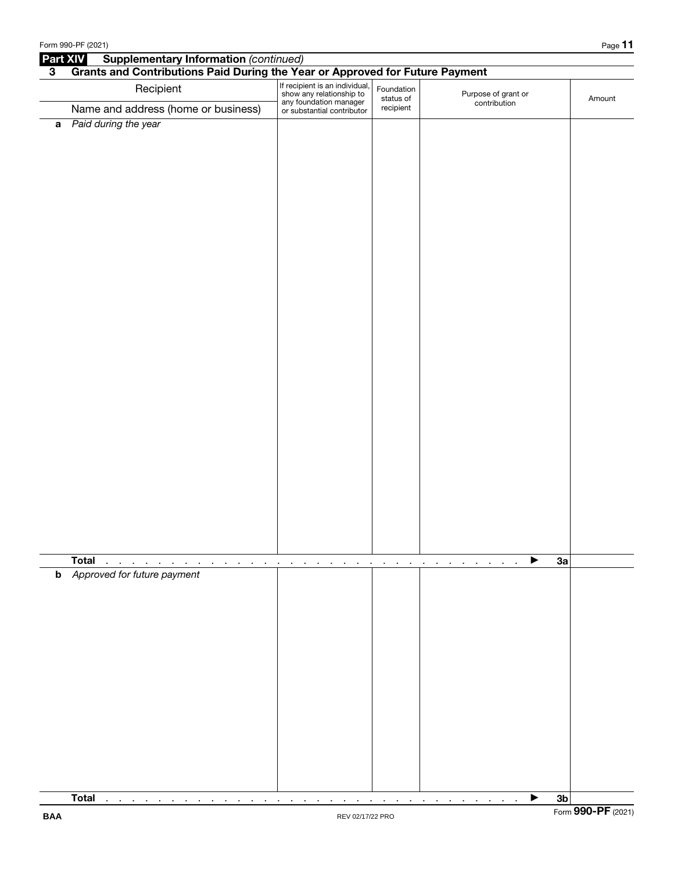|                         | Form 990-PF (2021)                                                                                |                                                                                                                    |                                                        |                                     |                | Page 11            |
|-------------------------|---------------------------------------------------------------------------------------------------|--------------------------------------------------------------------------------------------------------------------|--------------------------------------------------------|-------------------------------------|----------------|--------------------|
| <b>Part XIV</b>         | <b>Supplementary Information (continued)</b>                                                      |                                                                                                                    |                                                        |                                     |                |                    |
| $\overline{\mathbf{3}}$ | Grants and Contributions Paid During the Year or Approved for Future Payment                      |                                                                                                                    |                                                        |                                     |                |                    |
|                         | Recipient<br>Name and address (home or business)                                                  | If recipient is an individual,<br>show any relationship to<br>any foundation manager<br>or substantial contributor | Foundation<br>status of<br>recipient                   | Purpose of grant or<br>contribution |                | Amount             |
|                         |                                                                                                   |                                                                                                                    |                                                        |                                     |                |                    |
|                         | a Paid during the year                                                                            |                                                                                                                    |                                                        |                                     |                |                    |
|                         | <b>Total</b><br>$\mathcal{A}^{\mathcal{A}}$ and $\mathcal{A}^{\mathcal{A}}$<br>$\cdot$<br>$\cdot$ | $\blacksquare$<br>$\mathbf{r}$<br>$\blacksquare$<br>$\cdot$<br>$\blacksquare$                                      | $\blacksquare$<br>$\cdot$<br>$\blacksquare$<br>$\cdot$ | ▶<br>$\cdot$<br>$\mathbf{r}$        | 3a             |                    |
|                         | <b>b</b> Approved for future payment                                                              |                                                                                                                    |                                                        |                                     |                |                    |
|                         | <b>Total</b><br>$\sim$<br>$\sim$<br>$\sim$ 100 $\pm$<br>the company of the<br>$\blacksquare$      | $\blacksquare$                                                                                                     | $\sim$<br>$\sim$ 100 $\mu$                             | ▶<br>$\sim$                         | 3 <sub>b</sub> |                    |
| <b>BAA</b>              |                                                                                                   | REV 02/17/22 PRO                                                                                                   |                                                        |                                     |                | Form 990-PF (2021) |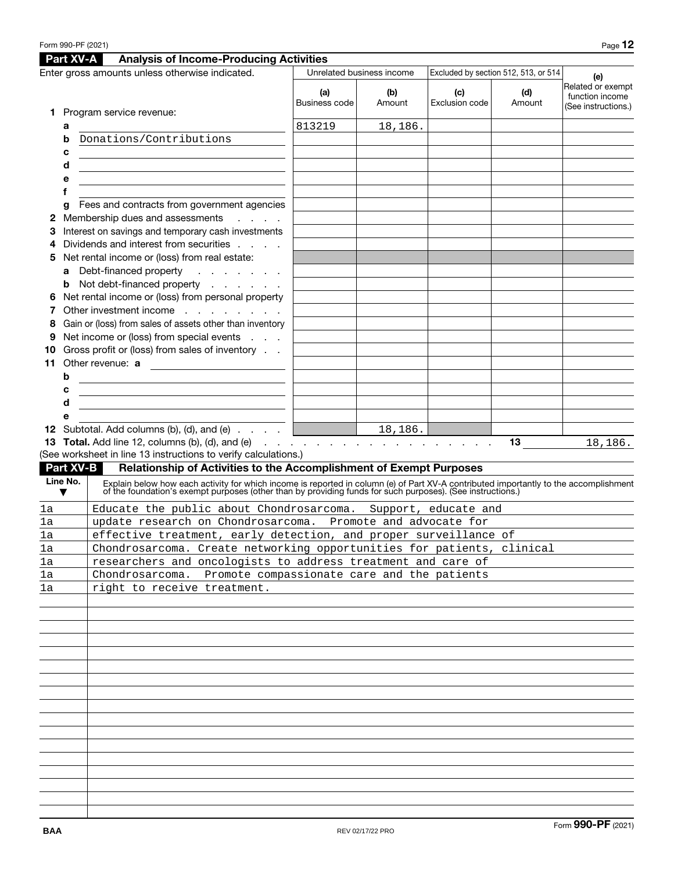|    |               | Part XV-A<br><b>Analysis of Income-Producing Activities</b>                                                                                                                                                                    |                      |                           |                       |                                      |                                                             |
|----|---------------|--------------------------------------------------------------------------------------------------------------------------------------------------------------------------------------------------------------------------------|----------------------|---------------------------|-----------------------|--------------------------------------|-------------------------------------------------------------|
|    |               | Enter gross amounts unless otherwise indicated.                                                                                                                                                                                |                      | Unrelated business income |                       | Excluded by section 512, 513, or 514 | (e)                                                         |
| 1. |               | Program service revenue:                                                                                                                                                                                                       | (a)<br>Business code | (b)<br>Amount             | (c)<br>Exclusion code | (d)<br>Amount                        | Related or exempt<br>function income<br>(See instructions.) |
|    | а             |                                                                                                                                                                                                                                | 813219               | 18,186.                   |                       |                                      |                                                             |
|    | b             | Donations/Contributions                                                                                                                                                                                                        |                      |                           |                       |                                      |                                                             |
|    | c             |                                                                                                                                                                                                                                |                      |                           |                       |                                      |                                                             |
|    | d             |                                                                                                                                                                                                                                |                      |                           |                       |                                      |                                                             |
|    | е             |                                                                                                                                                                                                                                |                      |                           |                       |                                      |                                                             |
|    | f             |                                                                                                                                                                                                                                |                      |                           |                       |                                      |                                                             |
|    |               | Fees and contracts from government agencies                                                                                                                                                                                    |                      |                           |                       |                                      |                                                             |
| 2  | g             | Membership dues and assessments<br>and a state                                                                                                                                                                                 |                      |                           |                       |                                      |                                                             |
| З  |               | Interest on savings and temporary cash investments                                                                                                                                                                             |                      |                           |                       |                                      |                                                             |
|    |               | Dividends and interest from securities                                                                                                                                                                                         |                      |                           |                       |                                      |                                                             |
| 5  |               | Net rental income or (loss) from real estate:                                                                                                                                                                                  |                      |                           |                       |                                      |                                                             |
|    | a             | Debt-financed property<br>and the company of                                                                                                                                                                                   |                      |                           |                       |                                      |                                                             |
|    | b             | Not debt-financed property                                                                                                                                                                                                     |                      |                           |                       |                                      |                                                             |
|    |               | Net rental income or (loss) from personal property                                                                                                                                                                             |                      |                           |                       |                                      |                                                             |
|    |               | Other investment income                                                                                                                                                                                                        |                      |                           |                       |                                      |                                                             |
| 8  |               | Gain or (loss) from sales of assets other than inventory                                                                                                                                                                       |                      |                           |                       |                                      |                                                             |
|    |               | Net income or (loss) from special events                                                                                                                                                                                       |                      |                           |                       |                                      |                                                             |
|    |               | Gross profit or (loss) from sales of inventory                                                                                                                                                                                 |                      |                           |                       |                                      |                                                             |
| 11 |               | Other revenue: a<br><u> 1980 - Andrea Andrew Maria (b. 1980)</u>                                                                                                                                                               |                      |                           |                       |                                      |                                                             |
|    | b             |                                                                                                                                                                                                                                |                      |                           |                       |                                      |                                                             |
|    | с             | <u> 1989 - Johann Barn, fransk politik (d. 1989)</u><br><u> 1980 - Johann Barn, fransk politik (f. 1980)</u>                                                                                                                   |                      |                           |                       |                                      |                                                             |
|    | d             | the control of the control of the control of the control of the control of the control of                                                                                                                                      |                      |                           |                       |                                      |                                                             |
|    | е             |                                                                                                                                                                                                                                |                      |                           |                       |                                      |                                                             |
|    |               |                                                                                                                                                                                                                                |                      |                           |                       |                                      |                                                             |
|    |               | <b>13 Total.</b> Add line 12, columns (b), (d), and (e) $\ldots$ $\ldots$ $\ldots$ $\ldots$ $\ldots$ $\ldots$ $\ldots$                                                                                                         |                      |                           |                       | 13                                   | 18,186.                                                     |
|    |               | (See worksheet in line 13 instructions to verify calculations.)                                                                                                                                                                |                      |                           |                       |                                      |                                                             |
|    |               | <b>Part XV-B</b><br>Relationship of Activities to the Accomplishment of Exempt Purposes                                                                                                                                        |                      |                           |                       |                                      |                                                             |
|    | Line No.<br>▼ | Explain below how each activity for which income is reported in column (e) of Part XV-A contributed importantly to the accomplishment of the foundation's exempt purposes (other than by providing funds for such purposes). ( |                      |                           |                       |                                      |                                                             |
| 1a |               | Educate the public about Chondrosarcoma. Support, educate and                                                                                                                                                                  |                      |                           |                       |                                      |                                                             |
| 1a |               |                                                                                                                                                                                                                                |                      |                           |                       |                                      |                                                             |
| 1a |               | update research on Chondrosarcoma. Promote and advocate for                                                                                                                                                                    |                      |                           |                       |                                      |                                                             |
|    |               | effective treatment, early detection, and proper surveillance of                                                                                                                                                               |                      |                           |                       |                                      |                                                             |
| la |               | Chondrosarcoma. Create networking opportunities for patients, clinical                                                                                                                                                         |                      |                           |                       |                                      |                                                             |
| la |               | researchers and oncologists to address treatment and care of                                                                                                                                                                   |                      |                           |                       |                                      |                                                             |
| la |               | Chondrosarcoma. Promote compassionate care and the patients                                                                                                                                                                    |                      |                           |                       |                                      |                                                             |
| la |               | right to receive treatment.                                                                                                                                                                                                    |                      |                           |                       |                                      |                                                             |
|    |               |                                                                                                                                                                                                                                |                      |                           |                       |                                      |                                                             |
|    |               |                                                                                                                                                                                                                                |                      |                           |                       |                                      |                                                             |
|    |               |                                                                                                                                                                                                                                |                      |                           |                       |                                      |                                                             |
|    |               |                                                                                                                                                                                                                                |                      |                           |                       |                                      |                                                             |
|    |               |                                                                                                                                                                                                                                |                      |                           |                       |                                      |                                                             |
|    |               |                                                                                                                                                                                                                                |                      |                           |                       |                                      |                                                             |
|    |               |                                                                                                                                                                                                                                |                      |                           |                       |                                      |                                                             |
|    |               |                                                                                                                                                                                                                                |                      |                           |                       |                                      |                                                             |
|    |               |                                                                                                                                                                                                                                |                      |                           |                       |                                      |                                                             |
|    |               |                                                                                                                                                                                                                                |                      |                           |                       |                                      |                                                             |
|    |               |                                                                                                                                                                                                                                |                      |                           |                       |                                      |                                                             |
|    |               |                                                                                                                                                                                                                                |                      |                           |                       |                                      |                                                             |
|    |               |                                                                                                                                                                                                                                |                      |                           |                       |                                      |                                                             |
|    |               |                                                                                                                                                                                                                                |                      |                           |                       |                                      |                                                             |
|    |               |                                                                                                                                                                                                                                |                      |                           |                       |                                      |                                                             |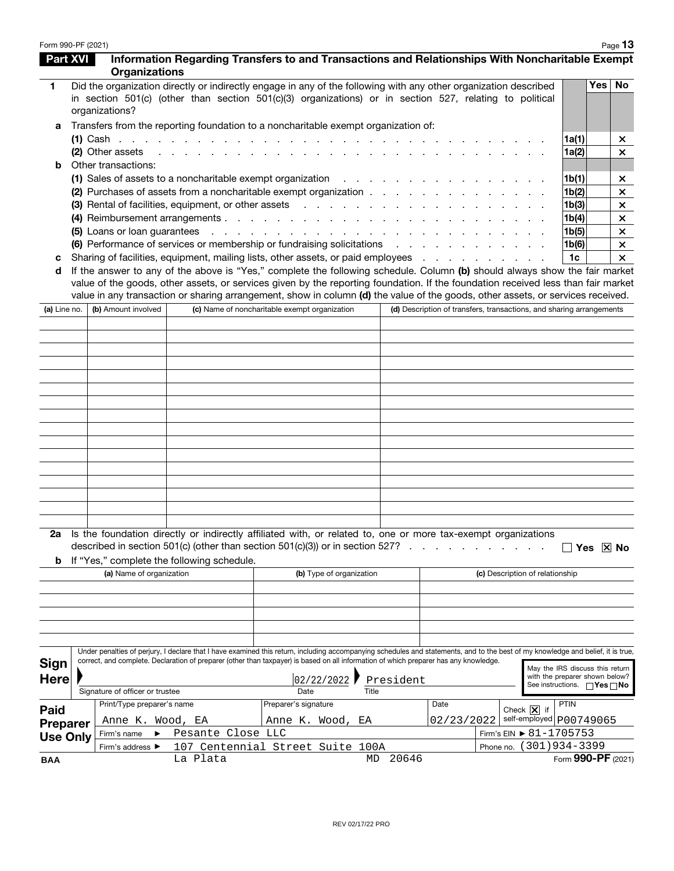| Form 990-PF (2021) |                                 |                                            |                                                                                                                                               |             |                                                                                                                                                                                                                                                                                                                                              |                                                                                                             | Page 13  |  |
|--------------------|---------------------------------|--------------------------------------------|-----------------------------------------------------------------------------------------------------------------------------------------------|-------------|----------------------------------------------------------------------------------------------------------------------------------------------------------------------------------------------------------------------------------------------------------------------------------------------------------------------------------------------|-------------------------------------------------------------------------------------------------------------|----------|--|
| <b>Part XVI</b>    | <b>Organizations</b>            |                                            |                                                                                                                                               |             | Information Regarding Transfers to and Transactions and Relationships With Noncharitable Exempt                                                                                                                                                                                                                                              |                                                                                                             |          |  |
| 1                  | organizations?                  |                                            |                                                                                                                                               |             | Did the organization directly or indirectly engage in any of the following with any other organization described<br>in section 501(c) (other than section 501(c)(3) organizations) or in section 527, relating to political                                                                                                                  |                                                                                                             | Yes No   |  |
| а                  |                                 |                                            | Transfers from the reporting foundation to a noncharitable exempt organization of:                                                            |             |                                                                                                                                                                                                                                                                                                                                              |                                                                                                             |          |  |
|                    |                                 |                                            |                                                                                                                                               |             |                                                                                                                                                                                                                                                                                                                                              | 1a(1)                                                                                                       | ×        |  |
|                    | (2) Other assets                |                                            | the contract of the contract of the contract of the contract of the contract of                                                               |             |                                                                                                                                                                                                                                                                                                                                              | 1a(2)                                                                                                       | $\times$ |  |
| b                  | Other transactions:             |                                            |                                                                                                                                               |             |                                                                                                                                                                                                                                                                                                                                              |                                                                                                             |          |  |
|                    |                                 |                                            | (1) Sales of assets to a noncharitable exempt organization $\ldots$                                                                           |             |                                                                                                                                                                                                                                                                                                                                              | 1b(1)                                                                                                       | ×        |  |
|                    |                                 |                                            | (2) Purchases of assets from a noncharitable exempt organization                                                                              |             |                                                                                                                                                                                                                                                                                                                                              | 1b(2)                                                                                                       | $\times$ |  |
|                    |                                 |                                            | (3) Rental of facilities, equipment, or other assets                                                                                          |             |                                                                                                                                                                                                                                                                                                                                              | 1 <sub>b</sub> (3)                                                                                          | $\times$ |  |
|                    |                                 |                                            |                                                                                                                                               |             |                                                                                                                                                                                                                                                                                                                                              | 1b(4)                                                                                                       | $\times$ |  |
|                    |                                 |                                            |                                                                                                                                               |             |                                                                                                                                                                                                                                                                                                                                              | 1b(5)                                                                                                       | $\times$ |  |
|                    |                                 |                                            | (6) Performance of services or membership or fundraising solicitations (b) Performance of services or membership or fundraising solicitations |             |                                                                                                                                                                                                                                                                                                                                              | 1 <sub>b</sub> (6)                                                                                          | $\times$ |  |
| с                  |                                 |                                            |                                                                                                                                               |             | Sharing of facilities, equipment, mailing lists, other assets, or paid employees                                                                                                                                                                                                                                                             | 1c                                                                                                          | $\times$ |  |
| d                  |                                 |                                            |                                                                                                                                               |             | If the answer to any of the above is "Yes," complete the following schedule. Column (b) should always show the fair market                                                                                                                                                                                                                   |                                                                                                             |          |  |
| (a) Line no.       | (b) Amount involved             |                                            | (c) Name of noncharitable exempt organization                                                                                                 |             | value of the goods, other assets, or services given by the reporting foundation. If the foundation received less than fair market<br>value in any transaction or sharing arrangement, show in column (d) the value of the goods, other assets, or services received.<br>(d) Description of transfers, transactions, and sharing arrangements |                                                                                                             |          |  |
|                    |                                 |                                            |                                                                                                                                               |             |                                                                                                                                                                                                                                                                                                                                              |                                                                                                             |          |  |
|                    |                                 |                                            |                                                                                                                                               |             |                                                                                                                                                                                                                                                                                                                                              |                                                                                                             |          |  |
|                    |                                 |                                            |                                                                                                                                               |             |                                                                                                                                                                                                                                                                                                                                              |                                                                                                             |          |  |
|                    |                                 |                                            |                                                                                                                                               |             |                                                                                                                                                                                                                                                                                                                                              |                                                                                                             |          |  |
|                    |                                 |                                            |                                                                                                                                               |             |                                                                                                                                                                                                                                                                                                                                              |                                                                                                             |          |  |
|                    |                                 |                                            |                                                                                                                                               |             |                                                                                                                                                                                                                                                                                                                                              |                                                                                                             |          |  |
|                    |                                 |                                            |                                                                                                                                               |             |                                                                                                                                                                                                                                                                                                                                              |                                                                                                             |          |  |
|                    |                                 |                                            |                                                                                                                                               |             |                                                                                                                                                                                                                                                                                                                                              |                                                                                                             |          |  |
|                    |                                 |                                            |                                                                                                                                               |             |                                                                                                                                                                                                                                                                                                                                              |                                                                                                             |          |  |
|                    |                                 |                                            |                                                                                                                                               |             |                                                                                                                                                                                                                                                                                                                                              |                                                                                                             |          |  |
|                    |                                 |                                            |                                                                                                                                               |             |                                                                                                                                                                                                                                                                                                                                              |                                                                                                             |          |  |
|                    |                                 |                                            |                                                                                                                                               |             |                                                                                                                                                                                                                                                                                                                                              |                                                                                                             |          |  |
|                    |                                 |                                            |                                                                                                                                               |             |                                                                                                                                                                                                                                                                                                                                              |                                                                                                             |          |  |
|                    |                                 |                                            |                                                                                                                                               |             |                                                                                                                                                                                                                                                                                                                                              |                                                                                                             |          |  |
|                    |                                 |                                            |                                                                                                                                               |             |                                                                                                                                                                                                                                                                                                                                              |                                                                                                             |          |  |
|                    |                                 |                                            |                                                                                                                                               |             |                                                                                                                                                                                                                                                                                                                                              |                                                                                                             |          |  |
| b                  |                                 | If "Yes," complete the following schedule. | described in section 501(c) (other than section 501(c)(3)) or in section 527?                                                                 | $\sim$      | Is the foundation directly or indirectly affiliated with, or related to, one or more tax-exempt organizations                                                                                                                                                                                                                                | Yes $ X $ No                                                                                                |          |  |
|                    | (a) Name of organization        |                                            | (b) Type of organization                                                                                                                      |             | (c) Description of relationship                                                                                                                                                                                                                                                                                                              |                                                                                                             |          |  |
|                    |                                 |                                            |                                                                                                                                               |             |                                                                                                                                                                                                                                                                                                                                              |                                                                                                             |          |  |
|                    |                                 |                                            |                                                                                                                                               |             |                                                                                                                                                                                                                                                                                                                                              |                                                                                                             |          |  |
|                    |                                 |                                            |                                                                                                                                               |             |                                                                                                                                                                                                                                                                                                                                              |                                                                                                             |          |  |
|                    |                                 |                                            |                                                                                                                                               |             | Under penalties of perjury, I declare that I have examined this return, including accompanying schedules and statements, and to the best of my knowledge and belief, it is true,                                                                                                                                                             |                                                                                                             |          |  |
| <b>Sign</b>        |                                 |                                            | correct, and complete. Declaration of preparer (other than taxpayer) is based on all information of which preparer has any knowledge.         |             |                                                                                                                                                                                                                                                                                                                                              |                                                                                                             |          |  |
| <b>Here</b>        |                                 |                                            | 02/22/2022                                                                                                                                    | President   |                                                                                                                                                                                                                                                                                                                                              | May the IRS discuss this return<br>with the preparer shown below?<br>See instructions. $\Box$ Yes $\Box$ No |          |  |
|                    | Signature of officer or trustee |                                            | Date                                                                                                                                          | Title       |                                                                                                                                                                                                                                                                                                                                              |                                                                                                             |          |  |
| Paid               | Print/Type preparer's name      |                                            | Preparer's signature                                                                                                                          |             | Date<br>Check $\boxed{\mathsf{X}}$ if                                                                                                                                                                                                                                                                                                        | PTIN                                                                                                        |          |  |
| <b>Preparer</b>    | Anne K. Wood, EA                |                                            | Anne K. Wood, EA                                                                                                                              |             | self-employed p00749065<br>02/23/2022                                                                                                                                                                                                                                                                                                        |                                                                                                             |          |  |
| <b>Use Only</b>    | Firm's name                     | Pesante Close LLC                          |                                                                                                                                               |             |                                                                                                                                                                                                                                                                                                                                              | Firm's EIN $▶ 81 - 1705753$                                                                                 |          |  |
|                    | Firm's address ▶                |                                            | 107 Centennial Street Suite 100A                                                                                                              |             | Phone no.                                                                                                                                                                                                                                                                                                                                    | $(301)934 - 3399$                                                                                           |          |  |
| <b>BAA</b>         |                                 | La Plata                                   |                                                                                                                                               | 20646<br>MD |                                                                                                                                                                                                                                                                                                                                              | Form 990-PF (2021)                                                                                          |          |  |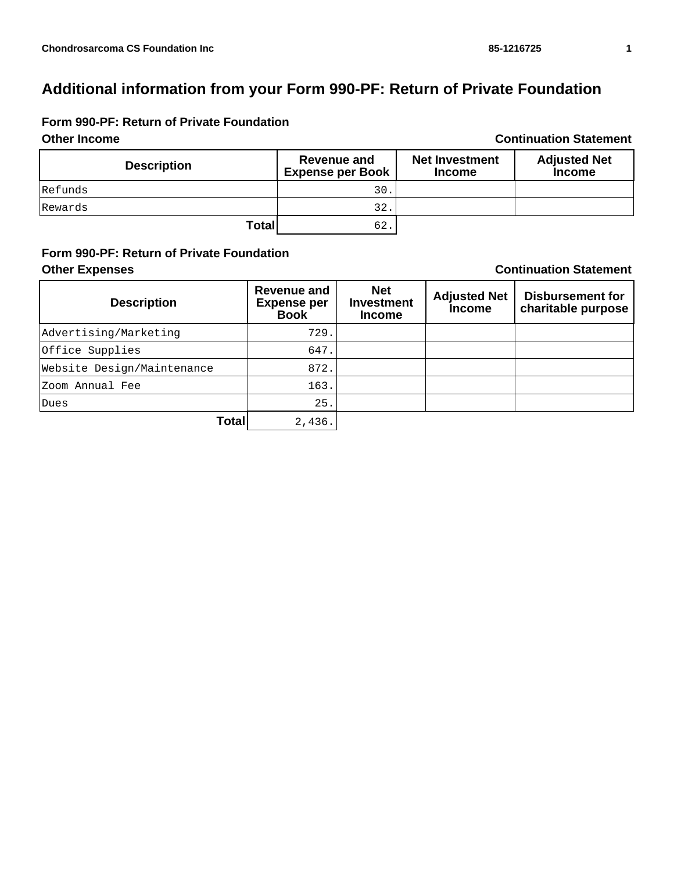# **Form 990-PF: Return of Private Foundation**

#### **Other Income Continuation Statement Description Revenue and**<br> **Revenue and**<br> **Revenue and**<br> **Revenue and Expense per Book Net Investment Income Adjusted Net Income** Refunds 30. Rewards 32. **Total** 62.

## **Form 990-PF: Return of Private Foundation Other Expenses Continuation Statement**

| <b>Description</b>         | <b>Revenue and</b><br><b>Expense per</b><br><b>Book</b> | <b>Net</b><br><b>Investment</b><br><b>Income</b> | <b>Adjusted Net</b><br><b>Income</b> | <b>Disbursement for</b><br>charitable purpose |
|----------------------------|---------------------------------------------------------|--------------------------------------------------|--------------------------------------|-----------------------------------------------|
| Advertising/Marketing      | 729.                                                    |                                                  |                                      |                                               |
| Office Supplies            | 647.                                                    |                                                  |                                      |                                               |
| Website Design/Maintenance | 872.                                                    |                                                  |                                      |                                               |
| Zoom Annual Fee            | 163.                                                    |                                                  |                                      |                                               |
| Dues                       | 25.                                                     |                                                  |                                      |                                               |
| Total                      | 2,436.                                                  |                                                  |                                      |                                               |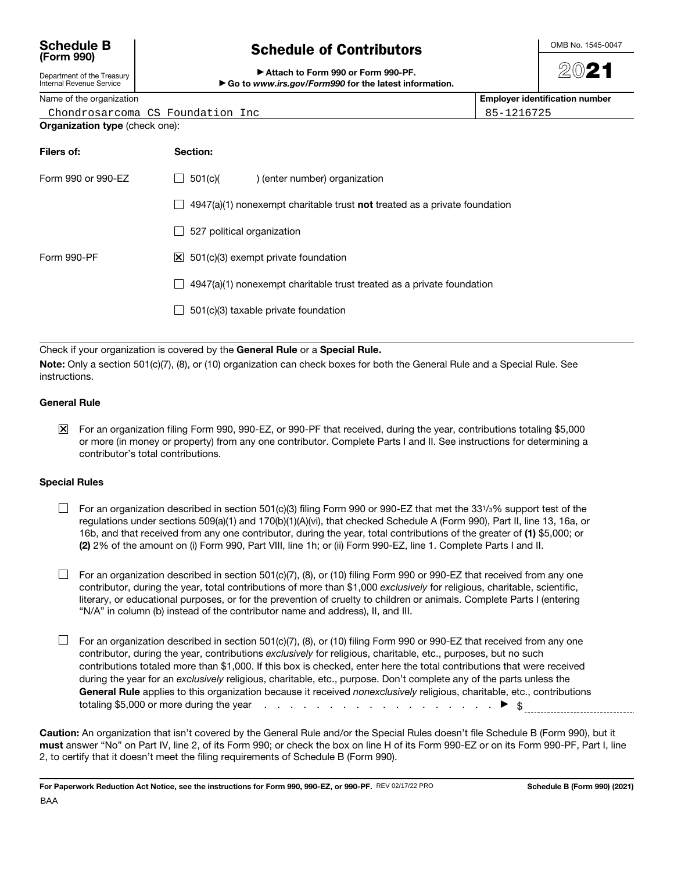## **Schedule B (Form 990)**

|  | <b>Schedule of Contributors</b> |  |
|--|---------------------------------|--|
|  |                                 |  |

OMB No. 1545-0047

#### Attach to Form 990 or Form 990-PF. ▶ Go to *www.irs.gov/Form990* for the latest information.

20**21**

85-1216725

Internal Revenue Service Name of the organization **Employer identification number**

Department of the Treasury

| Chondrosarcoma CS Foundation Inc |  |  |
|----------------------------------|--|--|
|                                  |  |  |

**Organization type** (check one):

| Filers of:         | Section:                                                                           |
|--------------------|------------------------------------------------------------------------------------|
| Form 990 or 990-EZ | 501(c)(<br>) (enter number) organization                                           |
|                    | $4947(a)(1)$ nonexempt charitable trust <b>not</b> treated as a private foundation |
|                    | 527 political organization                                                         |
| Form 990-PF        | $\vert$ X 501(c)(3) exempt private foundation                                      |
|                    | $4947(a)(1)$ nonexempt charitable trust treated as a private foundation            |
|                    | 501(c)(3) taxable private foundation                                               |
|                    |                                                                                    |

Check if your organization is covered by the **General Rule** or a **Special Rule.**

**Note:** Only a section 501(c)(7), (8), or (10) organization can check boxes for both the General Rule and a Special Rule. See instructions.

### **General Rule**

For an organization filing Form 990, 990-EZ, or 990-PF that received, during the year, contributions totaling \$5,000 or more (in money or property) from any one contributor. Complete Parts I and II. See instructions for determining a contributor's total contributions.

### **Special Rules**

- $\Box$  For an organization described in section 501(c)(3) filing Form 990 or 990-EZ that met the 331/3% support test of the regulations under sections 509(a)(1) and 170(b)(1)(A)(vi), that checked Schedule A (Form 990), Part II, line 13, 16a, or 16b, and that received from any one contributor, during the year, total contributions of the greater of **(1)** \$5,000; or **(2)** 2% of the amount on (i) Form 990, Part VIII, line 1h; or (ii) Form 990-EZ, line 1. Complete Parts I and II.
- $\Box$  For an organization described in section 501(c)(7), (8), or (10) filing Form 990 or 990-EZ that received from any one contributor, during the year, total contributions of more than \$1,000 exclusively for religious, charitable, scientific, literary, or educational purposes, or for the prevention of cruelty to children or animals. Complete Parts I (entering "N/A" in column (b) instead of the contributor name and address), II, and III.
- $\Box$  For an organization described in section 501(c)(7), (8), or (10) filing Form 990 or 990-EZ that received from any one contributor, during the year, contributions exclusively for religious, charitable, etc., purposes, but no such contributions totaled more than \$1,000. If this box is checked, enter here the total contributions that were received during the year for an exclusively religious, charitable, etc., purpose. Don't complete any of the parts unless the General Rule applies to this organization because it received nonexclusively religious, charitable, etc., contributions totaling \$5,000 or more during the year  $\cdots$  . . . . . . . . . . . . . . . . .  $\blacktriangleright \$

**Caution:** An organization that isn't covered by the General Rule and/or the Special Rules doesn't file Schedule B (Form 990), but it **must** answer "No" on Part IV, line 2, of its Form 990; or check the box on line H of its Form 990-EZ or on its Form 990-PF, Part I, line 2, to certify that it doesn't meet the filing requirements of Schedule B (Form 990).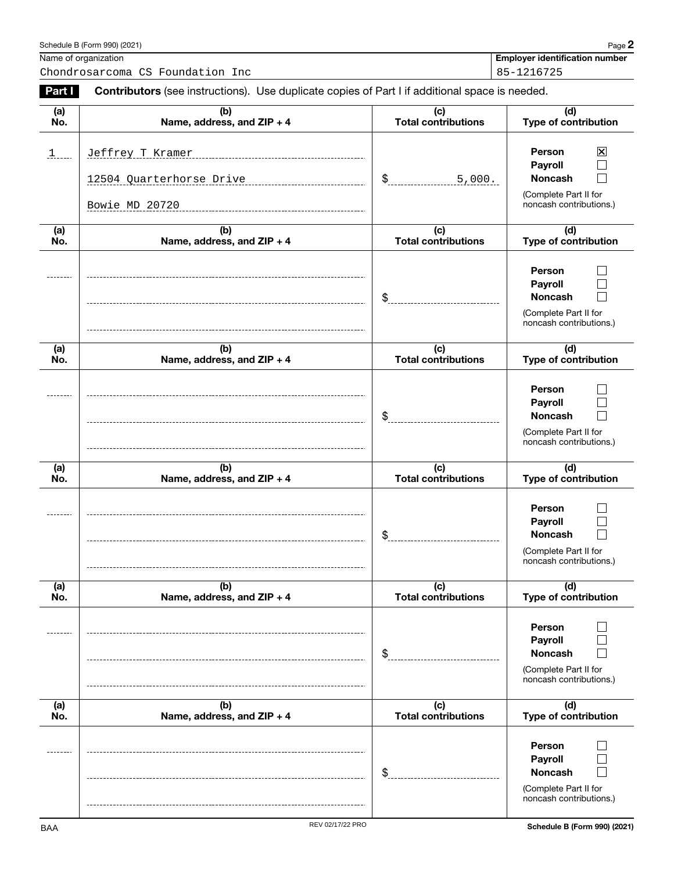|               | Name of organization<br>Chondrosarcoma CS Foundation Inc                                       |                                   | <b>Employer identification number</b><br>85-1216725                                            |
|---------------|------------------------------------------------------------------------------------------------|-----------------------------------|------------------------------------------------------------------------------------------------|
| Part I        | Contributors (see instructions). Use duplicate copies of Part I if additional space is needed. |                                   |                                                                                                |
| (a)<br>No.    | (b)<br>Name, address, and ZIP + 4                                                              | (c)<br><b>Total contributions</b> | (d)<br><b>Type of contribution</b>                                                             |
| $\frac{1}{2}$ | Jeffrey T Kramer<br>12504 Quarterhorse Drive                                                   | \$<br>5,000.                      | $\boxtimes$<br>Person<br><b>Payroll</b><br><b>Noncash</b>                                      |
|               | Bowie MD 20720                                                                                 |                                   | (Complete Part II for<br>noncash contributions.)                                               |
| (a)<br>No.    | (b)<br>Name, address, and ZIP + 4                                                              | (c)<br><b>Total contributions</b> | (d)<br><b>Type of contribution</b>                                                             |
|               |                                                                                                | \$                                | <b>Person</b><br>Payroll<br><b>Noncash</b><br>(Complete Part II for<br>noncash contributions.) |
| (a)<br>No.    | (b)<br>Name, address, and ZIP + 4                                                              | (c)<br><b>Total contributions</b> | (d)<br><b>Type of contribution</b>                                                             |
|               |                                                                                                | \$                                | Person<br>Payroll<br><b>Noncash</b><br>(Complete Part II for<br>noncash contributions.)        |
| (a)<br>No.    | (b)<br>Name, address, and ZIP + 4                                                              | (c)<br><b>Total contributions</b> | (d)<br><b>Type of contribution</b>                                                             |
|               |                                                                                                | \$                                | Person<br><b>Payroll</b><br><b>Noncash</b><br>(Complete Part II for<br>noncash contributions.) |
| (a)<br>No.    | (b)<br>Name, address, and ZIP + 4                                                              | (c)<br><b>Total contributions</b> | (d)<br>Type of contribution                                                                    |
|               |                                                                                                | \$                                | Person<br>Payroll<br><b>Noncash</b><br>(Complete Part II for<br>noncash contributions.)        |
| (a)<br>No.    | (b)<br>Name, address, and ZIP + 4                                                              | (c)<br><b>Total contributions</b> | (d)<br><b>Type of contribution</b>                                                             |
|               |                                                                                                | \$                                | Person<br>Payroll<br><b>Noncash</b><br>(Complete Part II for<br>noncash contributions.)        |

Schedule B (Form 990) (2021) Page **2**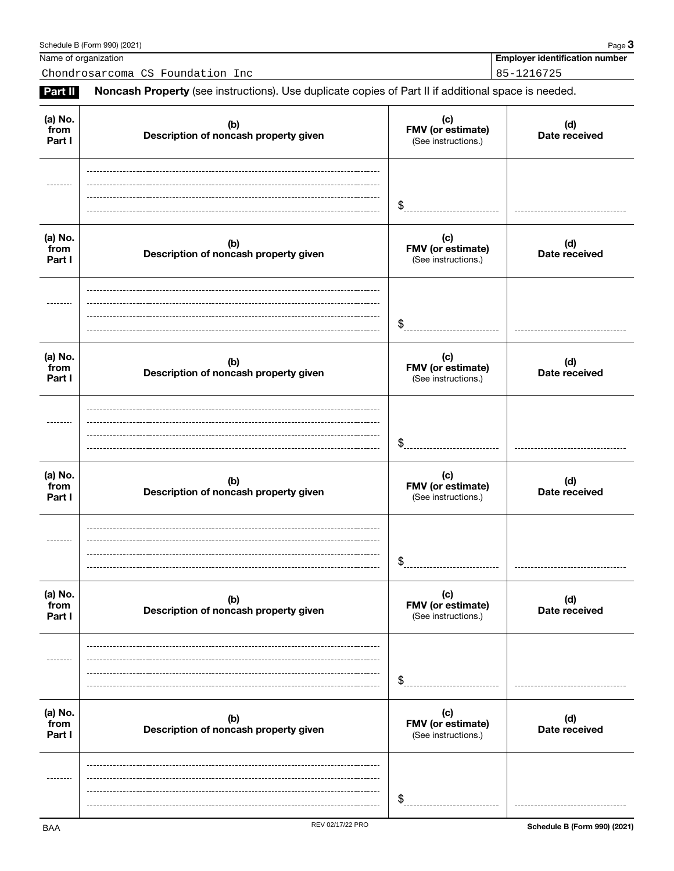|                           |                                              | \$                                              |                              |
|---------------------------|----------------------------------------------|-------------------------------------------------|------------------------------|
| (a) No.<br>from<br>Part I | (b)<br>Description of noncash property given | (c)<br>FMV (or estimate)<br>(See instructions.) | (d)<br>Date received         |
|                           |                                              | \$                                              |                              |
| (a) No.<br>from<br>Part I | (b)<br>Description of noncash property given | (c)<br>FMV (or estimate)<br>(See instructions.) | (d)<br>Date received         |
|                           |                                              | \$                                              |                              |
| (a) No.<br>from<br>Part I | (b)<br>Description of noncash property given | (c)<br>FMV (or estimate)<br>(See instructions.) | (d)<br>Date received         |
|                           |                                              | \$                                              |                              |
| (a) No.<br>from<br>Part I | (b)<br>Description of noncash property given | (c)<br>FMV (or estimate)<br>(See instructions.) | (d)<br>Date received         |
|                           |                                              | \$                                              |                              |
| (a) No.<br>from<br>Part I | (b)<br>Description of noncash property given | (c)<br>FMV (or estimate)<br>(See instructions.) | (d)<br>Date received         |
|                           |                                              | \$                                              |                              |
| <b>BAA</b>                | REV 02/17/22 PRO                             |                                                 | Schedule B (Form 990) (2021) |

## Schedule B (Form 990) (2021) Page **3**

Name of organization **Employer identification number Employer identification number** 

**(a) No. from Part I**

Chondrosarcoma CS Foundation Inc 85-1216725

**(c) FMV (or estimate)**  (See instructions.)

**Part II** Noncash Property (see instructions). Use duplicate copies of Part II if additional space is needed.

**(b) Description of noncash property given**

**(d) Date received**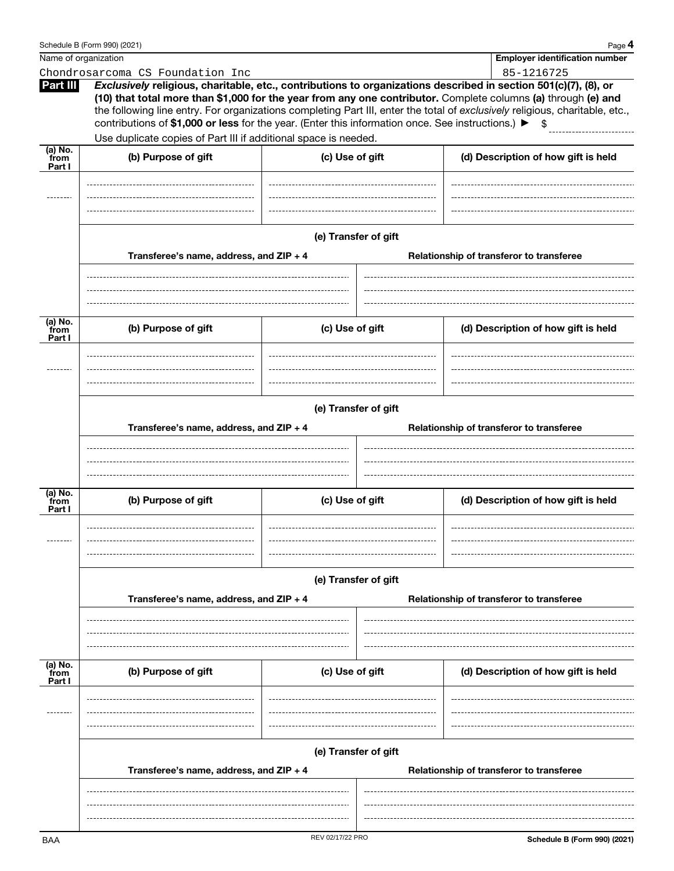|                             | Schedule B (Form 990) (2021)                                                                      |                 |                                                                  | Page 4                                                                                                                                                                                                                                                                                                                                                           |  |  |  |  |  |
|-----------------------------|---------------------------------------------------------------------------------------------------|-----------------|------------------------------------------------------------------|------------------------------------------------------------------------------------------------------------------------------------------------------------------------------------------------------------------------------------------------------------------------------------------------------------------------------------------------------------------|--|--|--|--|--|
| Name of organization        |                                                                                                   |                 |                                                                  | <b>Employer identification number</b>                                                                                                                                                                                                                                                                                                                            |  |  |  |  |  |
|                             | Chondrosarcoma CS Foundation Inc                                                                  |                 |                                                                  | 85-1216725                                                                                                                                                                                                                                                                                                                                                       |  |  |  |  |  |
| Part III                    | contributions of \$1,000 or less for the year. (Enter this information once. See instructions.) ▶ |                 |                                                                  | Exclusively religious, charitable, etc., contributions to organizations described in section 501(c)(7), (8), or<br>(10) that total more than \$1,000 for the year from any one contributor. Complete columns (a) through (e) and<br>the following line entry. For organizations completing Part III, enter the total of exclusively religious, charitable, etc., |  |  |  |  |  |
|                             | Use duplicate copies of Part III if additional space is needed.                                   |                 |                                                                  |                                                                                                                                                                                                                                                                                                                                                                  |  |  |  |  |  |
| $(a)$ No.<br>from<br>Part I | (b) Purpose of gift                                                                               | (c) Use of gift |                                                                  | (d) Description of how gift is held                                                                                                                                                                                                                                                                                                                              |  |  |  |  |  |
|                             | Transferee's name, address, and ZIP + 4                                                           |                 | (e) Transfer of gift<br>Relationship of transferor to transferee |                                                                                                                                                                                                                                                                                                                                                                  |  |  |  |  |  |
|                             |                                                                                                   |                 |                                                                  |                                                                                                                                                                                                                                                                                                                                                                  |  |  |  |  |  |
| (a) No.<br>from<br>Part I   | (b) Purpose of gift                                                                               | (c) Use of gift |                                                                  | (d) Description of how gift is held                                                                                                                                                                                                                                                                                                                              |  |  |  |  |  |
|                             | Transferee's name, address, and ZIP + 4                                                           |                 | (e) Transfer of gift<br>Relationship of transferor to transferee |                                                                                                                                                                                                                                                                                                                                                                  |  |  |  |  |  |
|                             |                                                                                                   |                 |                                                                  |                                                                                                                                                                                                                                                                                                                                                                  |  |  |  |  |  |
| (a) No.<br>from<br>Part I   | (b) Purpose of gift                                                                               | (c) Use of gift |                                                                  | (d) Description of how gift is held                                                                                                                                                                                                                                                                                                                              |  |  |  |  |  |
|                             |                                                                                                   |                 |                                                                  |                                                                                                                                                                                                                                                                                                                                                                  |  |  |  |  |  |
|                             | Transferee's name, address, and ZIP + 4                                                           |                 | (e) Transfer of gift<br>Relationship of transferor to transferee |                                                                                                                                                                                                                                                                                                                                                                  |  |  |  |  |  |
|                             |                                                                                                   |                 |                                                                  |                                                                                                                                                                                                                                                                                                                                                                  |  |  |  |  |  |
| (a) No.<br>from<br>Part I   | (b) Purpose of gift                                                                               | (c) Use of gift |                                                                  | (d) Description of how gift is held                                                                                                                                                                                                                                                                                                                              |  |  |  |  |  |
|                             |                                                                                                   |                 |                                                                  |                                                                                                                                                                                                                                                                                                                                                                  |  |  |  |  |  |
|                             | Transferee's name, address, and ZIP + 4                                                           |                 | (e) Transfer of gift<br>Relationship of transferor to transferee |                                                                                                                                                                                                                                                                                                                                                                  |  |  |  |  |  |
|                             |                                                                                                   |                 |                                                                  |                                                                                                                                                                                                                                                                                                                                                                  |  |  |  |  |  |
|                             |                                                                                                   |                 |                                                                  |                                                                                                                                                                                                                                                                                                                                                                  |  |  |  |  |  |